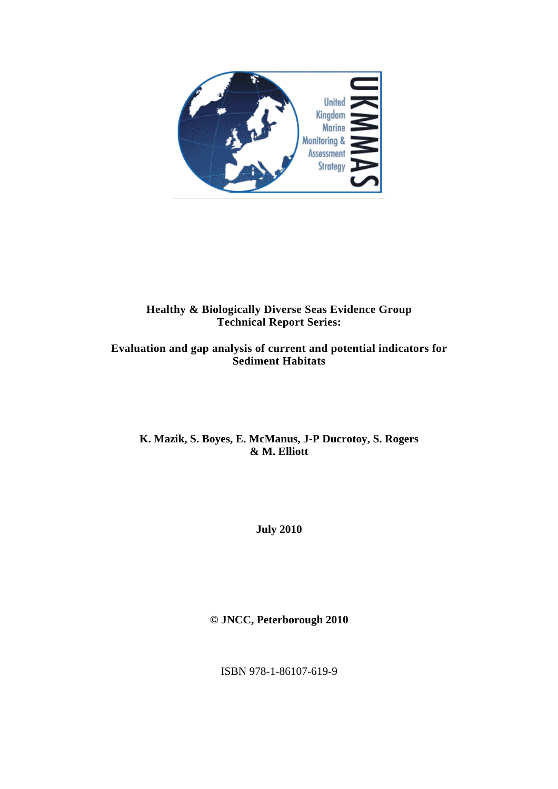

## **Healthy & Biologically Diverse Seas Evidence Group Technical Report Series:**

### **Evaluation and gap analysis of current and potential indicators for Sediment Habitats**

### **K. Mazik, S. Boyes, E. McManus, J-P Ducrotoy, S. Rogers & M. Elliott**

**July 2010** 

**© JNCC, Peterborough 2010** 

ISBN 978-1-86107-619-9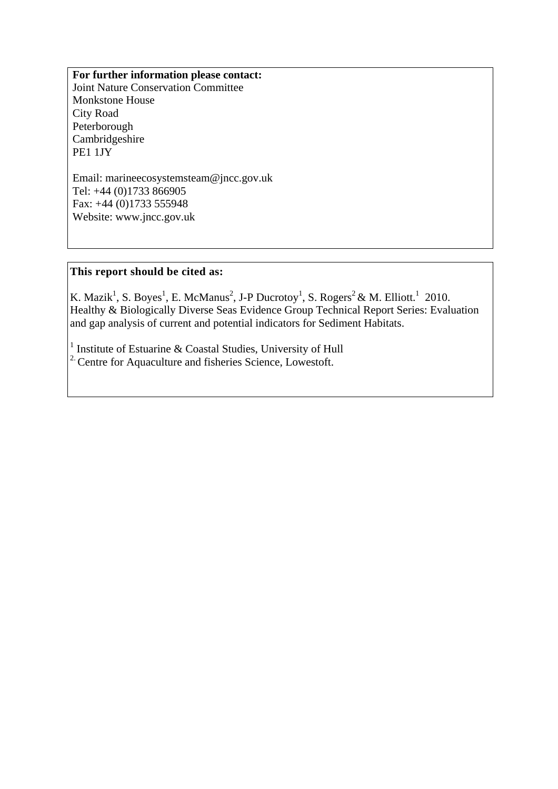**For further information please contact:**  Joint Nature Conservation Committee Monkstone House City Road Peterborough **Cambridgeshire** PE1 1JY

Email: marineecosystemsteam@jncc.gov.uk Tel: +44 (0)1733 866905 Fax: +44 (0)1733 555948 Website: www.jncc.gov.uk

#### **This report should be cited as:**

K. Mazik<sup>1</sup>, S. Boyes<sup>1</sup>, E. McManus<sup>2</sup>, J-P Ducrotoy<sup>1</sup>, S. Rogers<sup>2</sup> & M. Elliott.<sup>1</sup> 2010. Healthy & Biologically Diverse Seas Evidence Group Technical Report Series: Evaluation and gap analysis of current and potential indicators for Sediment Habitats.

<sup>1</sup> Institute of Estuarine & Coastal Studies, University of Hull  $2^{\circ}$  Centre for Aquaculture and fisheries Science, Lowestoft.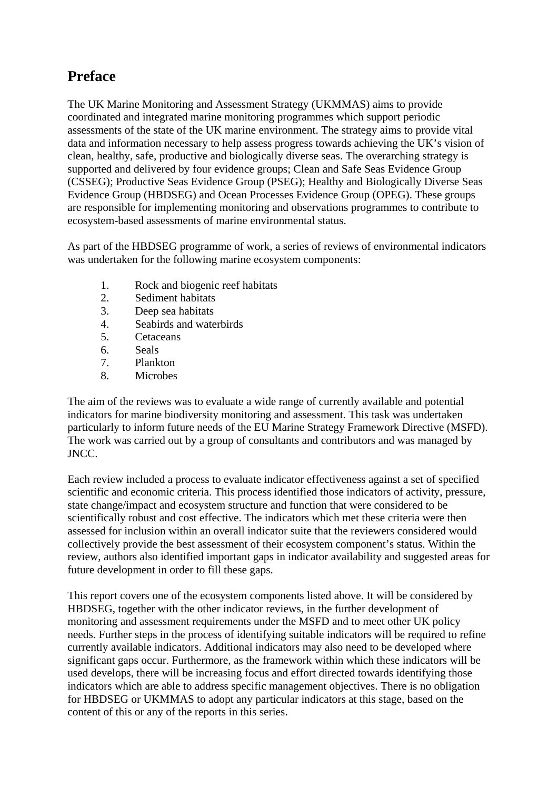# **Preface**

The UK Marine Monitoring and Assessment Strategy (UKMMAS) aims to provide coordinated and integrated marine monitoring programmes which support periodic assessments of the state of the UK marine environment. The strategy aims to provide vital data and information necessary to help assess progress towards achieving the UK's vision of clean, healthy, safe, productive and biologically diverse seas. The overarching strategy is supported and delivered by four evidence groups; Clean and Safe Seas Evidence Group (CSSEG); Productive Seas Evidence Group (PSEG); Healthy and Biologically Diverse Seas Evidence Group (HBDSEG) and Ocean Processes Evidence Group (OPEG). These groups are responsible for implementing monitoring and observations programmes to contribute to ecosystem-based assessments of marine environmental status.

As part of the HBDSEG programme of work, a series of reviews of environmental indicators was undertaken for the following marine ecosystem components:

- 1. Rock and biogenic reef habitats
- 2. Sediment habitats
- 3. Deep sea habitats
- 4. Seabirds and waterbirds
- 5. Cetaceans
- 6. Seals
- 7. Plankton
- 8. Microbes

The aim of the reviews was to evaluate a wide range of currently available and potential indicators for marine biodiversity monitoring and assessment. This task was undertaken particularly to inform future needs of the EU Marine Strategy Framework Directive (MSFD). The work was carried out by a group of consultants and contributors and was managed by JNCC.

Each review included a process to evaluate indicator effectiveness against a set of specified scientific and economic criteria. This process identified those indicators of activity, pressure, state change/impact and ecosystem structure and function that were considered to be scientifically robust and cost effective. The indicators which met these criteria were then assessed for inclusion within an overall indicator suite that the reviewers considered would collectively provide the best assessment of their ecosystem component's status. Within the review, authors also identified important gaps in indicator availability and suggested areas for future development in order to fill these gaps.

This report covers one of the ecosystem components listed above. It will be considered by HBDSEG, together with the other indicator reviews, in the further development of monitoring and assessment requirements under the MSFD and to meet other UK policy needs. Further steps in the process of identifying suitable indicators will be required to refine currently available indicators. Additional indicators may also need to be developed where significant gaps occur. Furthermore, as the framework within which these indicators will be used develops, there will be increasing focus and effort directed towards identifying those indicators which are able to address specific management objectives. There is no obligation for HBDSEG or UKMMAS to adopt any particular indicators at this stage, based on the content of this or any of the reports in this series.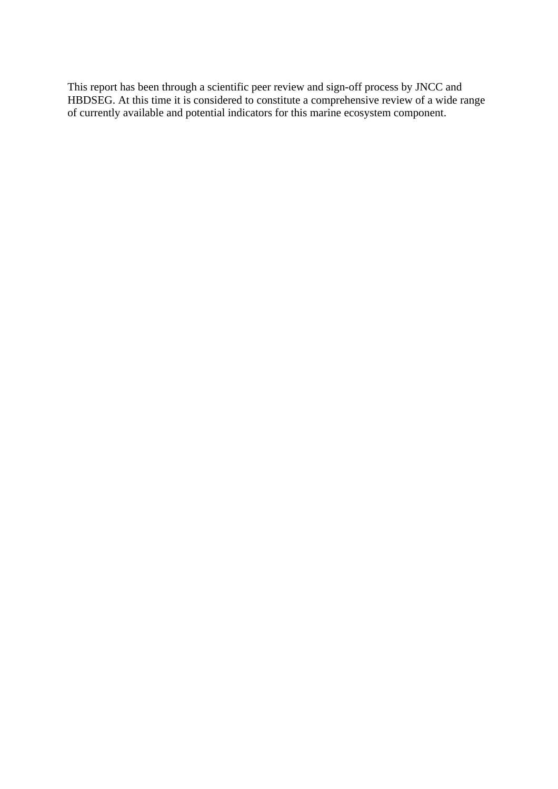This report has been through a scientific peer review and sign-off process by JNCC and HBDSEG. At this time it is considered to constitute a comprehensive review of a wide range of currently available and potential indicators for this marine ecosystem component.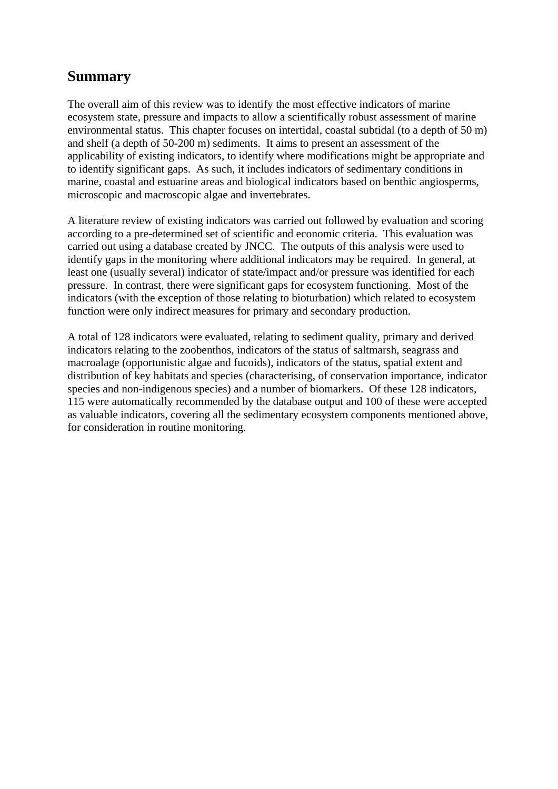# **Summary**

The overall aim of this review was to identify the most effective indicators of marine ecosystem state, pressure and impacts to allow a scientifically robust assessment of marine environmental status. This chapter focuses on intertidal, coastal subtidal (to a depth of 50 m) and shelf (a depth of 50-200 m) sediments. It aims to present an assessment of the applicability of existing indicators, to identify where modifications might be appropriate and to identify significant gaps. As such, it includes indicators of sedimentary conditions in marine, coastal and estuarine areas and biological indicators based on benthic angiosperms, microscopic and macroscopic algae and invertebrates.

A literature review of existing indicators was carried out followed by evaluation and scoring according to a pre-determined set of scientific and economic criteria. This evaluation was carried out using a database created by JNCC. The outputs of this analysis were used to identify gaps in the monitoring where additional indicators may be required. In general, at least one (usually several) indicator of state/impact and/or pressure was identified for each pressure. In contrast, there were significant gaps for ecosystem functioning. Most of the indicators (with the exception of those relating to bioturbation) which related to ecosystem function were only indirect measures for primary and secondary production.

A total of 128 indicators were evaluated, relating to sediment quality, primary and derived indicators relating to the zoobenthos, indicators of the status of saltmarsh, seagrass and macroalage (opportunistic algae and fucoids), indicators of the status, spatial extent and distribution of key habitats and species (characterising, of conservation importance, indicator species and non-indigenous species) and a number of biomarkers. Of these 128 indicators, 115 were automatically recommended by the database output and 100 of these were accepted as valuable indicators, covering all the sedimentary ecosystem components mentioned above, for consideration in routine monitoring.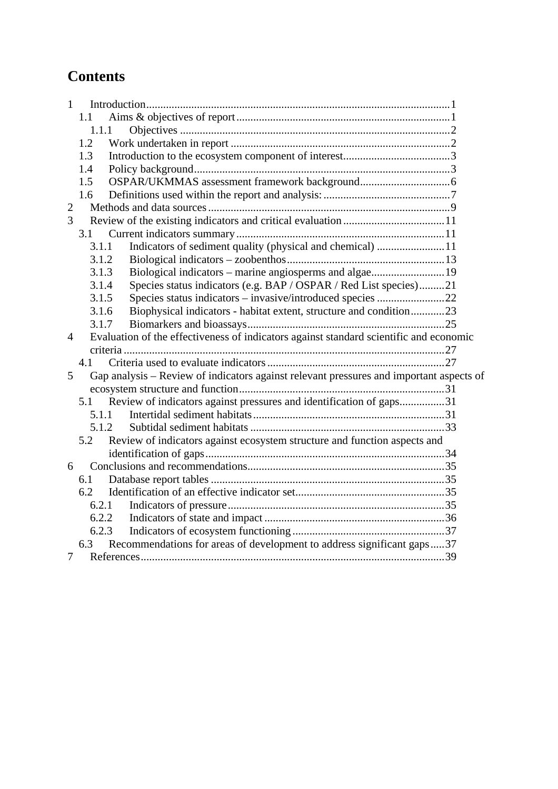# **Contents**

| $\mathbf{1}$   |       |                                                                                         |  |
|----------------|-------|-----------------------------------------------------------------------------------------|--|
|                | 1.1   |                                                                                         |  |
|                | 1.1.1 |                                                                                         |  |
|                | 1.2   |                                                                                         |  |
|                | 1.3   |                                                                                         |  |
|                | 1.4   |                                                                                         |  |
|                | 1.5   |                                                                                         |  |
|                | 1.6   |                                                                                         |  |
| $\mathbf{2}$   |       |                                                                                         |  |
| 3              |       |                                                                                         |  |
|                | 3.1   |                                                                                         |  |
|                | 3.1.1 | Indicators of sediment quality (physical and chemical) 11                               |  |
|                | 3.1.2 |                                                                                         |  |
|                | 3.1.3 | Biological indicators – marine angiosperms and algae19                                  |  |
|                | 3.1.4 | Species status indicators (e.g. BAP / OSPAR / Red List species)21                       |  |
|                | 3.1.5 |                                                                                         |  |
|                | 3.1.6 | Biophysical indicators - habitat extent, structure and condition23                      |  |
|                | 3.1.7 |                                                                                         |  |
| $\overline{4}$ |       | Evaluation of the effectiveness of indicators against standard scientific and economic  |  |
|                |       |                                                                                         |  |
|                | 4.1   |                                                                                         |  |
| 5              |       | Gap analysis - Review of indicators against relevant pressures and important aspects of |  |
|                |       |                                                                                         |  |
|                | 5.1   | Review of indicators against pressures and identification of gaps31                     |  |
|                | 5.1.1 |                                                                                         |  |
|                | 5.1.2 |                                                                                         |  |
|                | 5.2   | Review of indicators against ecosystem structure and function aspects and               |  |
|                |       |                                                                                         |  |
| 6              |       |                                                                                         |  |
|                | 6.1   |                                                                                         |  |
|                | 6.2   |                                                                                         |  |
|                | 6.2.1 |                                                                                         |  |
|                | 6.2.2 |                                                                                         |  |
|                | 6.2.3 |                                                                                         |  |
|                | 6.3   | Recommendations for areas of development to address significant gaps37                  |  |
| $\overline{7}$ |       |                                                                                         |  |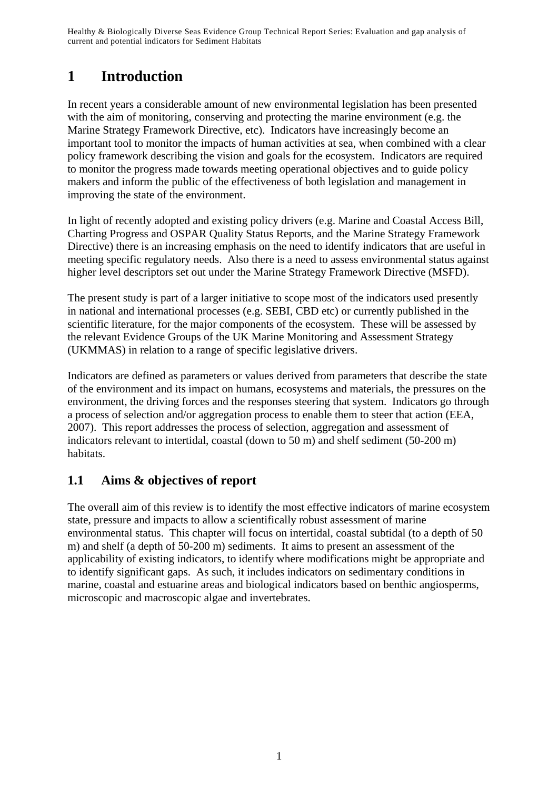# **1 Introduction**

In recent years a considerable amount of new environmental legislation has been presented with the aim of monitoring, conserving and protecting the marine environment (e.g. the Marine Strategy Framework Directive, etc). Indicators have increasingly become an important tool to monitor the impacts of human activities at sea, when combined with a clear policy framework describing the vision and goals for the ecosystem. Indicators are required to monitor the progress made towards meeting operational objectives and to guide policy makers and inform the public of the effectiveness of both legislation and management in improving the state of the environment.

In light of recently adopted and existing policy drivers (e.g. Marine and Coastal Access Bill, Charting Progress and OSPAR Quality Status Reports, and the Marine Strategy Framework Directive) there is an increasing emphasis on the need to identify indicators that are useful in meeting specific regulatory needs. Also there is a need to assess environmental status against higher level descriptors set out under the Marine Strategy Framework Directive (MSFD).

The present study is part of a larger initiative to scope most of the indicators used presently in national and international processes (e.g. SEBI, CBD etc) or currently published in the scientific literature, for the major components of the ecosystem. These will be assessed by the relevant Evidence Groups of the UK Marine Monitoring and Assessment Strategy (UKMMAS) in relation to a range of specific legislative drivers.

Indicators are defined as parameters or values derived from parameters that describe the state of the environment and its impact on humans, ecosystems and materials, the pressures on the environment, the driving forces and the responses steering that system. Indicators go through a process of selection and/or aggregation process to enable them to steer that action (EEA, 2007). This report addresses the process of selection, aggregation and assessment of indicators relevant to intertidal, coastal (down to 50 m) and shelf sediment (50-200 m) habitats.

# **1.1 Aims & objectives of report**

The overall aim of this review is to identify the most effective indicators of marine ecosystem state, pressure and impacts to allow a scientifically robust assessment of marine environmental status. This chapter will focus on intertidal, coastal subtidal (to a depth of 50 m) and shelf (a depth of 50-200 m) sediments. It aims to present an assessment of the applicability of existing indicators, to identify where modifications might be appropriate and to identify significant gaps. As such, it includes indicators on sedimentary conditions in marine, coastal and estuarine areas and biological indicators based on benthic angiosperms, microscopic and macroscopic algae and invertebrates.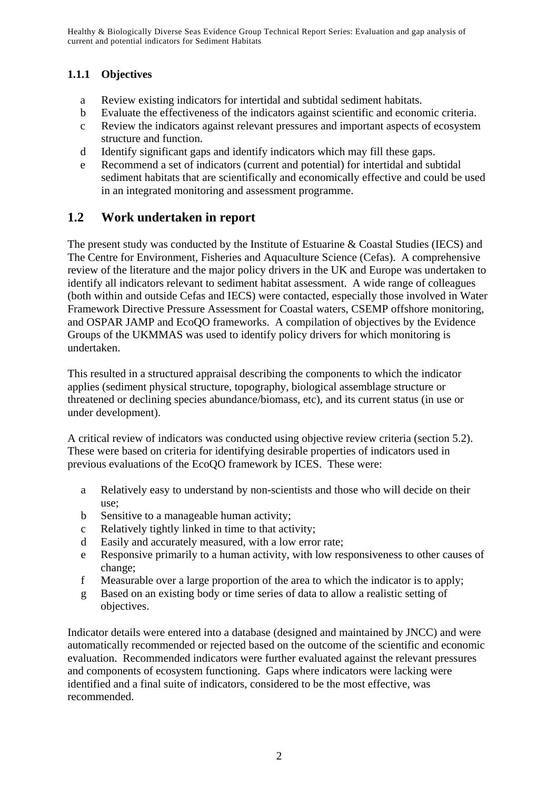## **1.1.1 Objectives**

- a Review existing indicators for intertidal and subtidal sediment habitats.
- b Evaluate the effectiveness of the indicators against scientific and economic criteria.
- c Review the indicators against relevant pressures and important aspects of ecosystem structure and function.
- d Identify significant gaps and identify indicators which may fill these gaps.
- e Recommend a set of indicators (current and potential) for intertidal and subtidal sediment habitats that are scientifically and economically effective and could be used in an integrated monitoring and assessment programme.

# **1.2 Work undertaken in report**

The present study was conducted by the Institute of Estuarine & Coastal Studies (IECS) and The Centre for Environment, Fisheries and Aquaculture Science (Cefas). A comprehensive review of the literature and the major policy drivers in the UK and Europe was undertaken to identify all indicators relevant to sediment habitat assessment. A wide range of colleagues (both within and outside Cefas and IECS) were contacted, especially those involved in Water Framework Directive Pressure Assessment for Coastal waters, CSEMP offshore monitoring, and OSPAR JAMP and EcoQO frameworks. A compilation of objectives by the Evidence Groups of the UKMMAS was used to identify policy drivers for which monitoring is undertaken.

This resulted in a structured appraisal describing the components to which the indicator applies (sediment physical structure, topography, biological assemblage structure or threatened or declining species abundance/biomass, etc), and its current status (in use or under development).

A critical review of indicators was conducted using objective review criteria (section 5.2). These were based on criteria for identifying desirable properties of indicators used in previous evaluations of the EcoQO framework by ICES. These were:

- a Relatively easy to understand by non-scientists and those who will decide on their use;
- b Sensitive to a manageable human activity;
- c Relatively tightly linked in time to that activity;
- d Easily and accurately measured, with a low error rate;
- e Responsive primarily to a human activity, with low responsiveness to other causes of change;
- f Measurable over a large proportion of the area to which the indicator is to apply;
- g Based on an existing body or time series of data to allow a realistic setting of objectives.

Indicator details were entered into a database (designed and maintained by JNCC) and were automatically recommended or rejected based on the outcome of the scientific and economic evaluation. Recommended indicators were further evaluated against the relevant pressures and components of ecosystem functioning. Gaps where indicators were lacking were identified and a final suite of indicators, considered to be the most effective, was recommended.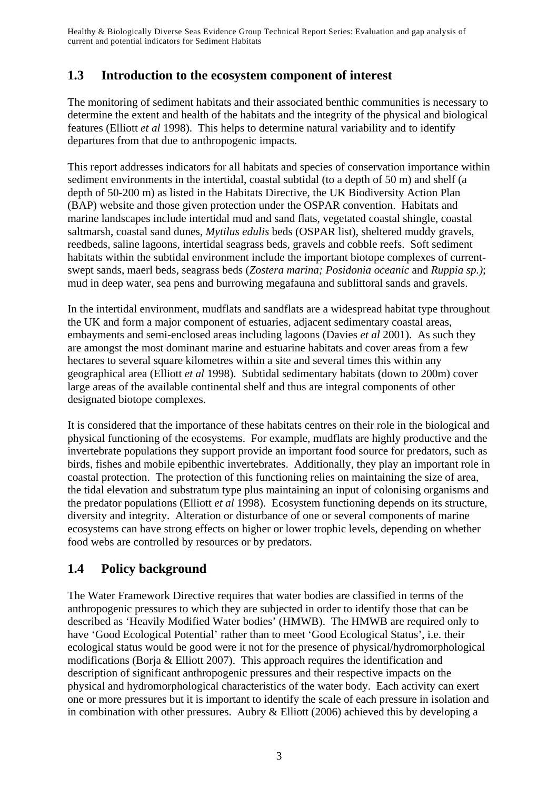# **1.3 Introduction to the ecosystem component of interest**

The monitoring of sediment habitats and their associated benthic communities is necessary to determine the extent and health of the habitats and the integrity of the physical and biological features (Elliott *et al* 1998). This helps to determine natural variability and to identify departures from that due to anthropogenic impacts.

This report addresses indicators for all habitats and species of conservation importance within sediment environments in the intertidal, coastal subtidal (to a depth of 50 m) and shelf (a depth of 50-200 m) as listed in the Habitats Directive, the UK Biodiversity Action Plan (BAP) website and those given protection under the OSPAR convention. Habitats and marine landscapes include intertidal mud and sand flats, vegetated coastal shingle, coastal saltmarsh, coastal sand dunes, *Mytilus edulis* beds (OSPAR list), sheltered muddy gravels, reedbeds, saline lagoons, intertidal seagrass beds, gravels and cobble reefs. Soft sediment habitats within the subtidal environment include the important biotope complexes of currentswept sands, maerl beds, seagrass beds (*Zostera marina; Posidonia oceanic* and *Ruppia sp.)*; mud in deep water, sea pens and burrowing megafauna and sublittoral sands and gravels.

In the intertidal environment, mudflats and sandflats are a widespread habitat type throughout the UK and form a major component of estuaries, adjacent sedimentary coastal areas, embayments and semi-enclosed areas including lagoons (Davies *et al* 2001). As such they are amongst the most dominant marine and estuarine habitats and cover areas from a few hectares to several square kilometres within a site and several times this within any geographical area (Elliott *et al* 1998). Subtidal sedimentary habitats (down to 200m) cover large areas of the available continental shelf and thus are integral components of other designated biotope complexes.

It is considered that the importance of these habitats centres on their role in the biological and physical functioning of the ecosystems. For example, mudflats are highly productive and the invertebrate populations they support provide an important food source for predators, such as birds, fishes and mobile epibenthic invertebrates. Additionally, they play an important role in coastal protection. The protection of this functioning relies on maintaining the size of area, the tidal elevation and substratum type plus maintaining an input of colonising organisms and the predator populations (Elliott *et al* 1998). Ecosystem functioning depends on its structure, diversity and integrity. Alteration or disturbance of one or several components of marine ecosystems can have strong effects on higher or lower trophic levels, depending on whether food webs are controlled by resources or by predators.

# **1.4 Policy background**

The Water Framework Directive requires that water bodies are classified in terms of the anthropogenic pressures to which they are subjected in order to identify those that can be described as 'Heavily Modified Water bodies' (HMWB). The HMWB are required only to have 'Good Ecological Potential' rather than to meet 'Good Ecological Status', i.e. their ecological status would be good were it not for the presence of physical/hydromorphological modifications (Borja & Elliott 2007). This approach requires the identification and description of significant anthropogenic pressures and their respective impacts on the physical and hydromorphological characteristics of the water body. Each activity can exert one or more pressures but it is important to identify the scale of each pressure in isolation and in combination with other pressures. Aubry & Elliott (2006) achieved this by developing a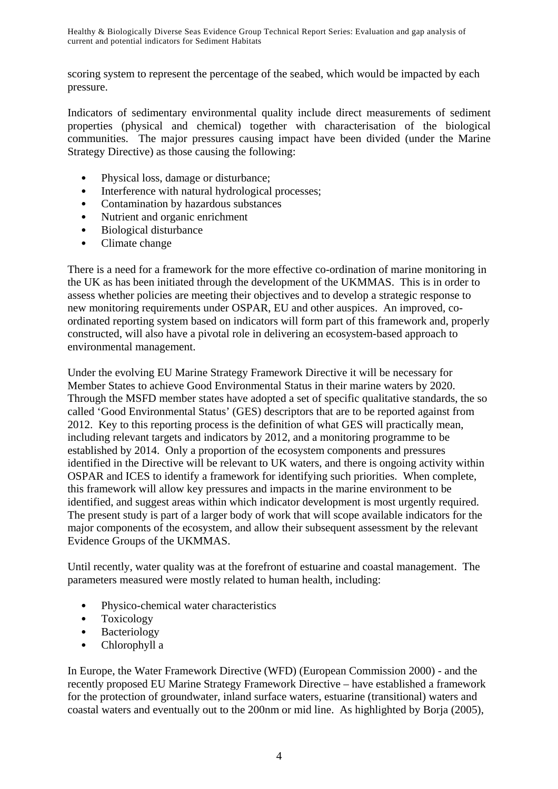scoring system to represent the percentage of the seabed, which would be impacted by each pressure.

Indicators of sedimentary environmental quality include direct measurements of sediment properties (physical and chemical) together with characterisation of the biological communities. The major pressures causing impact have been divided (under the Marine Strategy Directive) as those causing the following:

- Physical loss, damage or disturbance;
- Interference with natural hydrological processes;
- Contamination by hazardous substances
- Nutrient and organic enrichment
- Biological disturbance
- Climate change

There is a need for a framework for the more effective co-ordination of marine monitoring in the UK as has been initiated through the development of the UKMMAS. This is in order to assess whether policies are meeting their objectives and to develop a strategic response to new monitoring requirements under OSPAR, EU and other auspices. An improved, coordinated reporting system based on indicators will form part of this framework and, properly constructed, will also have a pivotal role in delivering an ecosystem-based approach to environmental management.

Under the evolving EU Marine Strategy Framework Directive it will be necessary for Member States to achieve Good Environmental Status in their marine waters by 2020. Through the MSFD member states have adopted a set of specific qualitative standards, the so called 'Good Environmental Status' (GES) descriptors that are to be reported against from 2012. Key to this reporting process is the definition of what GES will practically mean, including relevant targets and indicators by 2012, and a monitoring programme to be established by 2014. Only a proportion of the ecosystem components and pressures identified in the Directive will be relevant to UK waters, and there is ongoing activity within OSPAR and ICES to identify a framework for identifying such priorities. When complete, this framework will allow key pressures and impacts in the marine environment to be identified, and suggest areas within which indicator development is most urgently required. The present study is part of a larger body of work that will scope available indicators for the major components of the ecosystem, and allow their subsequent assessment by the relevant Evidence Groups of the UKMMAS.

Until recently, water quality was at the forefront of estuarine and coastal management. The parameters measured were mostly related to human health, including:

- Physico-chemical water characteristics
- Toxicology
- Bacteriology
- Chlorophyll a

In Europe, the Water Framework Directive (WFD) (European Commission 2000) - and the recently proposed EU Marine Strategy Framework Directive – have established a framework for the protection of groundwater, inland surface waters, estuarine (transitional) waters and coastal waters and eventually out to the 200nm or mid line. As highlighted by Borja (2005),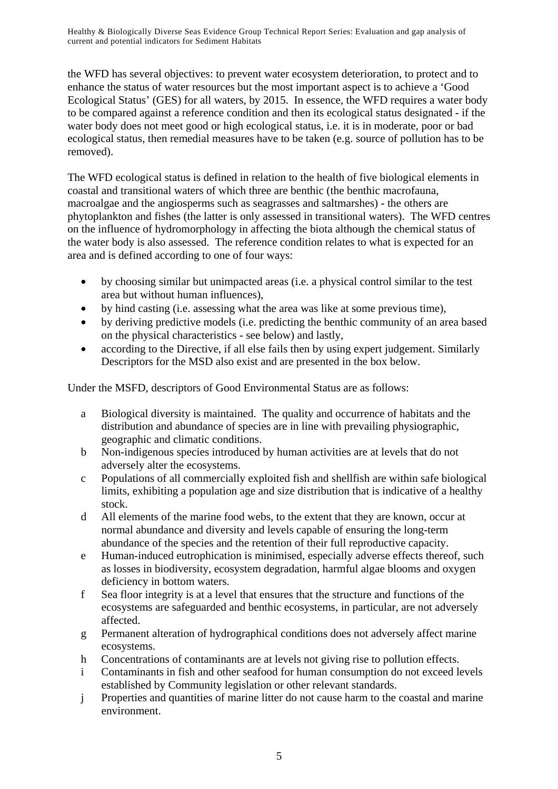the WFD has several objectives: to prevent water ecosystem deterioration, to protect and to enhance the status of water resources but the most important aspect is to achieve a 'Good Ecological Status' (GES) for all waters, by 2015. In essence, the WFD requires a water body to be compared against a reference condition and then its ecological status designated - if the water body does not meet good or high ecological status, i.e. it is in moderate, poor or bad ecological status, then remedial measures have to be taken (e.g. source of pollution has to be removed).

The WFD ecological status is defined in relation to the health of five biological elements in coastal and transitional waters of which three are benthic (the benthic macrofauna, macroalgae and the angiosperms such as seagrasses and saltmarshes) - the others are phytoplankton and fishes (the latter is only assessed in transitional waters). The WFD centres on the influence of hydromorphology in affecting the biota although the chemical status of the water body is also assessed. The reference condition relates to what is expected for an area and is defined according to one of four ways:

- by choosing similar but unimpacted areas (i.e. a physical control similar to the test area but without human influences),
- by hind casting (i.e. assessing what the area was like at some previous time),
- by deriving predictive models (i.e. predicting the benthic community of an area based on the physical characteristics - see below) and lastly,
- according to the Directive, if all else fails then by using expert judgement. Similarly Descriptors for the MSD also exist and are presented in the box below.

Under the MSFD, descriptors of Good Environmental Status are as follows:

- a Biological diversity is maintained. The quality and occurrence of habitats and the distribution and abundance of species are in line with prevailing physiographic, geographic and climatic conditions.
- b Non-indigenous species introduced by human activities are at levels that do not adversely alter the ecosystems.
- c Populations of all commercially exploited fish and shellfish are within safe biological limits, exhibiting a population age and size distribution that is indicative of a healthy stock.
- d All elements of the marine food webs, to the extent that they are known, occur at normal abundance and diversity and levels capable of ensuring the long-term abundance of the species and the retention of their full reproductive capacity.
- e Human-induced eutrophication is minimised, especially adverse effects thereof, such as losses in biodiversity, ecosystem degradation, harmful algae blooms and oxygen deficiency in bottom waters.
- f Sea floor integrity is at a level that ensures that the structure and functions of the ecosystems are safeguarded and benthic ecosystems, in particular, are not adversely affected.
- g Permanent alteration of hydrographical conditions does not adversely affect marine ecosystems.
- h Concentrations of contaminants are at levels not giving rise to pollution effects.
- i Contaminants in fish and other seafood for human consumption do not exceed levels established by Community legislation or other relevant standards.
- j Properties and quantities of marine litter do not cause harm to the coastal and marine environment.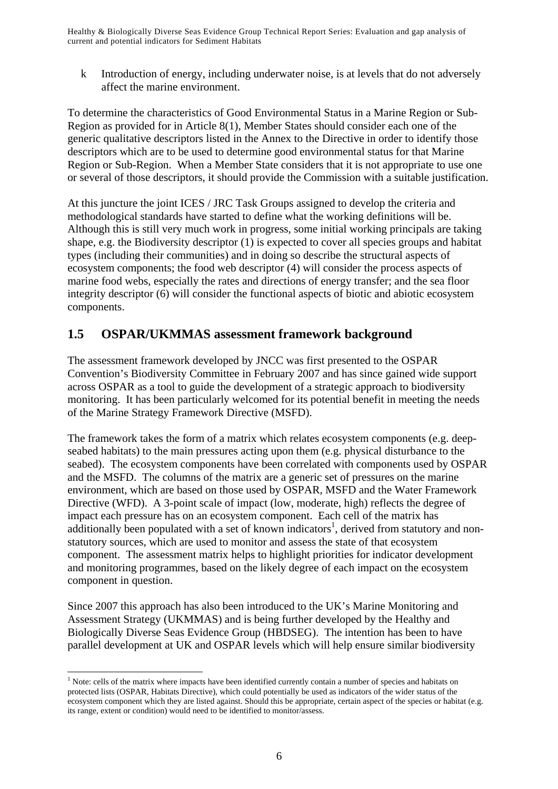k Introduction of energy, including underwater noise, is at levels that do not adversely affect the marine environment.

To determine the characteristics of Good Environmental Status in a Marine Region or Sub-Region as provided for in Article 8(1), Member States should consider each one of the generic qualitative descriptors listed in the Annex to the Directive in order to identify those descriptors which are to be used to determine good environmental status for that Marine Region or Sub-Region. When a Member State considers that it is not appropriate to use one or several of those descriptors, it should provide the Commission with a suitable justification.

At this juncture the joint ICES / JRC Task Groups assigned to develop the criteria and methodological standards have started to define what the working definitions will be. Although this is still very much work in progress, some initial working principals are taking shape, e.g. the Biodiversity descriptor (1) is expected to cover all species groups and habitat types (including their communities) and in doing so describe the structural aspects of ecosystem components; the food web descriptor (4) will consider the process aspects of marine food webs, especially the rates and directions of energy transfer; and the sea floor integrity descriptor (6) will consider the functional aspects of biotic and abiotic ecosystem components.

# **1.5 OSPAR/UKMMAS assessment framework background**

The assessment framework developed by JNCC was first presented to the OSPAR Convention's Biodiversity Committee in February 2007 and has since gained wide support across OSPAR as a tool to guide the development of a strategic approach to biodiversity monitoring. It has been particularly welcomed for its potential benefit in meeting the needs of the Marine Strategy Framework Directive (MSFD).

The framework takes the form of a matrix which relates ecosystem components (e.g. deepseabed habitats) to the main pressures acting upon them (e.g. physical disturbance to the seabed). The ecosystem components have been correlated with components used by OSPAR and the MSFD. The columns of the matrix are a generic set of pressures on the marine environment, which are based on those used by OSPAR, MSFD and the Water Framework Directive (WFD). A 3-point scale of impact (low, moderate, high) reflects the degree of impact each pressure has on an ecosystem component. Each cell of the matrix has additionally been populated with a set of known indicators<sup>1</sup>, derived from statutory and nonstatutory sources, which are used to monitor and assess the state of that ecosystem component. The assessment matrix helps to highlight priorities for indicator development and monitoring programmes, based on the likely degree of each impact on the ecosystem component in question.

Since 2007 this approach has also been introduced to the UK's Marine Monitoring and Assessment Strategy (UKMMAS) and is being further developed by the Healthy and Biologically Diverse Seas Evidence Group (HBDSEG). The intention has been to have parallel development at UK and OSPAR levels which will help ensure similar biodiversity

 $\overline{a}$ 

<sup>&</sup>lt;sup>1</sup> Note: cells of the matrix where impacts have been identified currently contain a number of species and habitats on protected lists (OSPAR, Habitats Directive), which could potentially be used as indicators of the wider status of the ecosystem component which they are listed against. Should this be appropriate, certain aspect of the species or habitat (e.g. its range, extent or condition) would need to be identified to monitor/assess.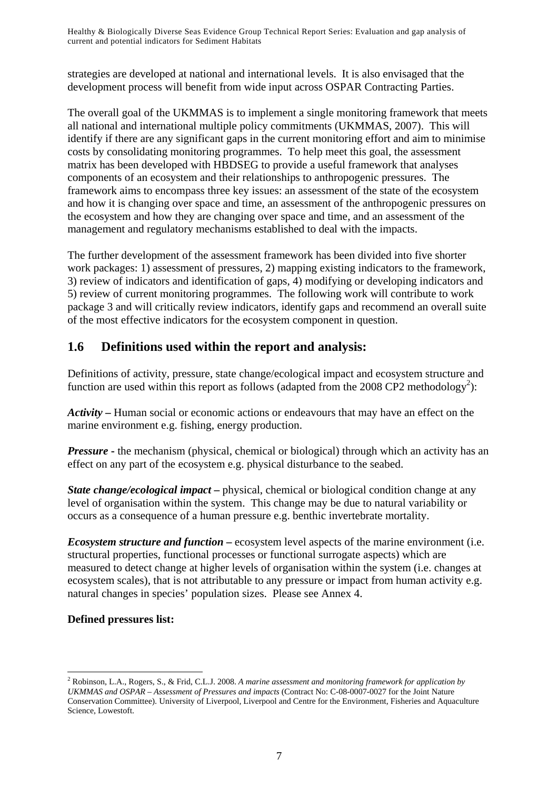strategies are developed at national and international levels. It is also envisaged that the development process will benefit from wide input across OSPAR Contracting Parties.

The overall goal of the UKMMAS is to implement a single monitoring framework that meets all national and international multiple policy commitments (UKMMAS, 2007). This will identify if there are any significant gaps in the current monitoring effort and aim to minimise costs by consolidating monitoring programmes. To help meet this goal, the assessment matrix has been developed with HBDSEG to provide a useful framework that analyses components of an ecosystem and their relationships to anthropogenic pressures. The framework aims to encompass three key issues: an assessment of the state of the ecosystem and how it is changing over space and time, an assessment of the anthropogenic pressures on the ecosystem and how they are changing over space and time, and an assessment of the management and regulatory mechanisms established to deal with the impacts.

The further development of the assessment framework has been divided into five shorter work packages: 1) assessment of pressures, 2) mapping existing indicators to the framework, 3) review of indicators and identification of gaps, 4) modifying or developing indicators and 5) review of current monitoring programmes. The following work will contribute to work package 3 and will critically review indicators, identify gaps and recommend an overall suite of the most effective indicators for the ecosystem component in question.

# **1.6 Definitions used within the report and analysis:**

Definitions of activity, pressure, state change/ecological impact and ecosystem structure and function are used within this report as follows (adapted from the 2008 CP2 methodology<sup>2</sup>):

*Activity* **–** Human social or economic actions or endeavours that may have an effect on the marine environment e.g. fishing, energy production.

*Pressure* - the mechanism (physical, chemical or biological) through which an activity has an effect on any part of the ecosystem e.g. physical disturbance to the seabed.

*State change/ecological impact* – physical, chemical or biological condition change at any level of organisation within the system. This change may be due to natural variability or occurs as a consequence of a human pressure e.g. benthic invertebrate mortality.

*Ecosystem structure and function –* ecosystem level aspects of the marine environment (i.e. structural properties, functional processes or functional surrogate aspects) which are measured to detect change at higher levels of organisation within the system (i.e. changes at ecosystem scales), that is not attributable to any pressure or impact from human activity e.g. natural changes in species' population sizes. Please see Annex 4.

## **Defined pressures list:**

 $\overline{a}$ 

<sup>2</sup> Robinson, L.A., Rogers, S., & Frid, C.L.J. 2008. *A marine assessment and monitoring framework for application by UKMMAS and OSPAR – Assessment of Pressures and impacts* (Contract No: C-08-0007-0027 for the Joint Nature Conservation Committee). University of Liverpool, Liverpool and Centre for the Environment, Fisheries and Aquaculture Science, Lowestoft.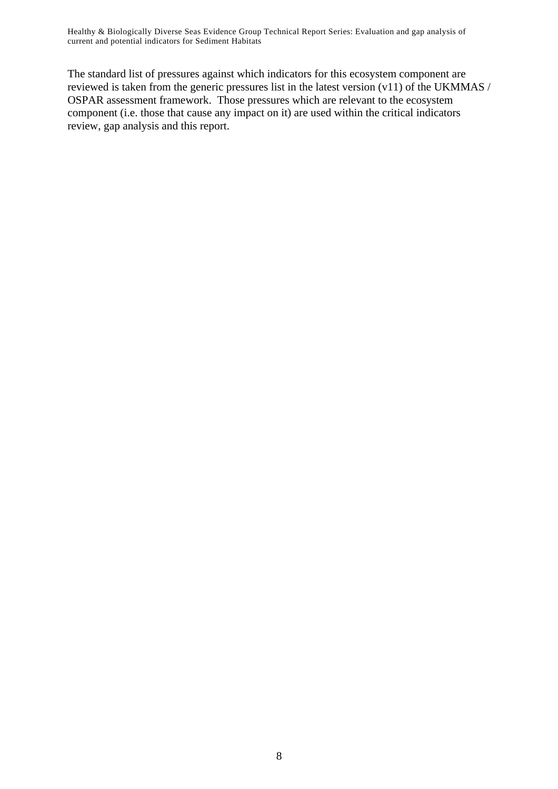The standard list of pressures against which indicators for this ecosystem component are reviewed is taken from the generic pressures list in the latest version (v11) of the UKMMAS / OSPAR assessment framework. Those pressures which are relevant to the ecosystem component (i.e. those that cause any impact on it) are used within the critical indicators review, gap analysis and this report.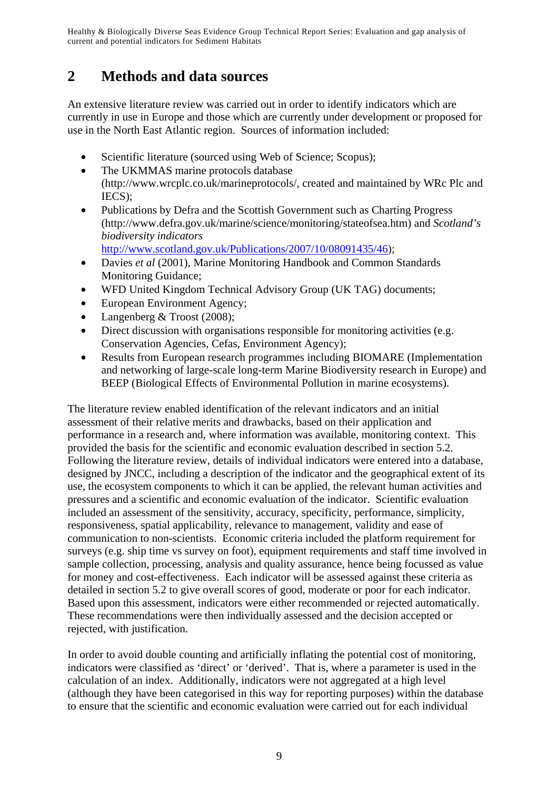# **2 Methods and data sources**

An extensive literature review was carried out in order to identify indicators which are currently in use in Europe and those which are currently under development or proposed for use in the North East Atlantic region. Sources of information included:

- Scientific literature (sourced using Web of Science; Scopus);
- The UKMMAS marine protocols database (http://www.wrcplc.co.uk/marineprotocols/, created and maintained by WRc Plc and IECS);
- Publications by Defra and the Scottish Government such as Charting Progress (http://www.defra.gov.uk/marine/science/monitoring/stateofsea.htm) and *Scotland's biodiversity indicators*  http://www.scotland.gov.uk/Publications/2007/10/08091435/46);
- Davies *et al* (2001), Marine Monitoring Handbook and Common Standards Monitoring Guidance;
- WFD United Kingdom Technical Advisory Group (UK TAG) documents;
- European Environment Agency;
- Langenberg & Troost (2008);
- Direct discussion with organisations responsible for monitoring activities (e.g. Conservation Agencies, Cefas, Environment Agency);
- Results from European research programmes including BIOMARE (Implementation and networking of large-scale long-term Marine Biodiversity research in Europe) and BEEP (Biological Effects of Environmental Pollution in marine ecosystems).

The literature review enabled identification of the relevant indicators and an initial assessment of their relative merits and drawbacks, based on their application and performance in a research and, where information was available, monitoring context. This provided the basis for the scientific and economic evaluation described in section 5.2. Following the literature review, details of individual indicators were entered into a database, designed by JNCC, including a description of the indicator and the geographical extent of its use, the ecosystem components to which it can be applied, the relevant human activities and pressures and a scientific and economic evaluation of the indicator. Scientific evaluation included an assessment of the sensitivity, accuracy, specificity, performance, simplicity, responsiveness, spatial applicability, relevance to management, validity and ease of communication to non-scientists. Economic criteria included the platform requirement for surveys (e.g. ship time vs survey on foot), equipment requirements and staff time involved in sample collection, processing, analysis and quality assurance, hence being focussed as value for money and cost-effectiveness. Each indicator will be assessed against these criteria as detailed in section 5.2 to give overall scores of good, moderate or poor for each indicator. Based upon this assessment, indicators were either recommended or rejected automatically. These recommendations were then individually assessed and the decision accepted or rejected, with justification.

In order to avoid double counting and artificially inflating the potential cost of monitoring, indicators were classified as 'direct' or 'derived'. That is, where a parameter is used in the calculation of an index. Additionally, indicators were not aggregated at a high level (although they have been categorised in this way for reporting purposes) within the database to ensure that the scientific and economic evaluation were carried out for each individual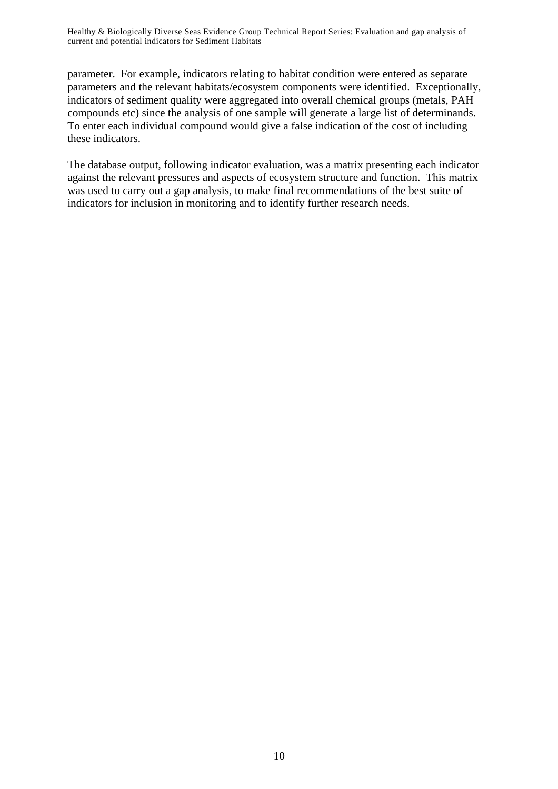parameter. For example, indicators relating to habitat condition were entered as separate parameters and the relevant habitats/ecosystem components were identified. Exceptionally, indicators of sediment quality were aggregated into overall chemical groups (metals, PAH compounds etc) since the analysis of one sample will generate a large list of determinands. To enter each individual compound would give a false indication of the cost of including these indicators.

The database output, following indicator evaluation, was a matrix presenting each indicator against the relevant pressures and aspects of ecosystem structure and function. This matrix was used to carry out a gap analysis, to make final recommendations of the best suite of indicators for inclusion in monitoring and to identify further research needs.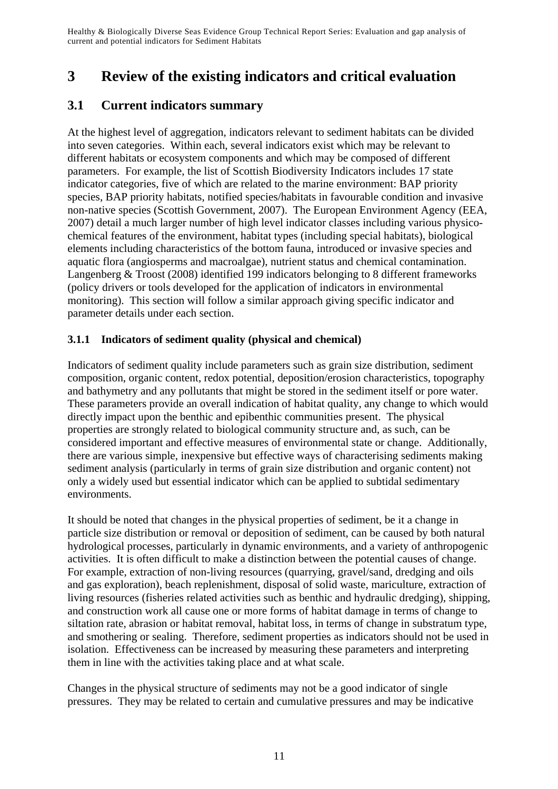# **3 Review of the existing indicators and critical evaluation**

# **3.1 Current indicators summary**

At the highest level of aggregation, indicators relevant to sediment habitats can be divided into seven categories. Within each, several indicators exist which may be relevant to different habitats or ecosystem components and which may be composed of different parameters. For example, the list of Scottish Biodiversity Indicators includes 17 state indicator categories, five of which are related to the marine environment: BAP priority species, BAP priority habitats, notified species/habitats in favourable condition and invasive non-native species (Scottish Government, 2007). The European Environment Agency (EEA, 2007) detail a much larger number of high level indicator classes including various physicochemical features of the environment, habitat types (including special habitats), biological elements including characteristics of the bottom fauna, introduced or invasive species and aquatic flora (angiosperms and macroalgae), nutrient status and chemical contamination. Langenberg & Troost (2008) identified 199 indicators belonging to 8 different frameworks (policy drivers or tools developed for the application of indicators in environmental monitoring). This section will follow a similar approach giving specific indicator and parameter details under each section.

## **3.1.1 Indicators of sediment quality (physical and chemical)**

Indicators of sediment quality include parameters such as grain size distribution, sediment composition, organic content, redox potential, deposition/erosion characteristics, topography and bathymetry and any pollutants that might be stored in the sediment itself or pore water. These parameters provide an overall indication of habitat quality, any change to which would directly impact upon the benthic and epibenthic communities present. The physical properties are strongly related to biological community structure and, as such, can be considered important and effective measures of environmental state or change. Additionally, there are various simple, inexpensive but effective ways of characterising sediments making sediment analysis (particularly in terms of grain size distribution and organic content) not only a widely used but essential indicator which can be applied to subtidal sedimentary environments.

It should be noted that changes in the physical properties of sediment, be it a change in particle size distribution or removal or deposition of sediment, can be caused by both natural hydrological processes, particularly in dynamic environments, and a variety of anthropogenic activities. It is often difficult to make a distinction between the potential causes of change. For example, extraction of non-living resources (quarrying, gravel/sand, dredging and oils and gas exploration), beach replenishment, disposal of solid waste, mariculture, extraction of living resources (fisheries related activities such as benthic and hydraulic dredging), shipping, and construction work all cause one or more forms of habitat damage in terms of change to siltation rate, abrasion or habitat removal, habitat loss, in terms of change in substratum type, and smothering or sealing. Therefore, sediment properties as indicators should not be used in isolation. Effectiveness can be increased by measuring these parameters and interpreting them in line with the activities taking place and at what scale.

Changes in the physical structure of sediments may not be a good indicator of single pressures. They may be related to certain and cumulative pressures and may be indicative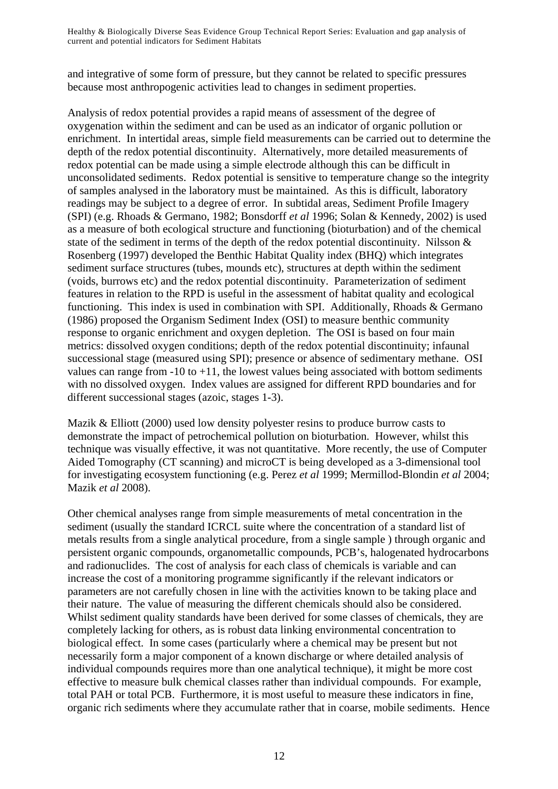and integrative of some form of pressure, but they cannot be related to specific pressures because most anthropogenic activities lead to changes in sediment properties.

Analysis of redox potential provides a rapid means of assessment of the degree of oxygenation within the sediment and can be used as an indicator of organic pollution or enrichment. In intertidal areas, simple field measurements can be carried out to determine the depth of the redox potential discontinuity. Alternatively, more detailed measurements of redox potential can be made using a simple electrode although this can be difficult in unconsolidated sediments. Redox potential is sensitive to temperature change so the integrity of samples analysed in the laboratory must be maintained. As this is difficult, laboratory readings may be subject to a degree of error. In subtidal areas, Sediment Profile Imagery (SPI) (e.g. Rhoads & Germano, 1982; Bonsdorff *et al* 1996; Solan & Kennedy, 2002) is used as a measure of both ecological structure and functioning (bioturbation) and of the chemical state of the sediment in terms of the depth of the redox potential discontinuity. Nilsson & Rosenberg (1997) developed the Benthic Habitat Quality index (BHQ) which integrates sediment surface structures (tubes, mounds etc), structures at depth within the sediment (voids, burrows etc) and the redox potential discontinuity. Parameterization of sediment features in relation to the RPD is useful in the assessment of habitat quality and ecological functioning. This index is used in combination with SPI. Additionally, Rhoads & Germano (1986) proposed the Organism Sediment Index (OSI) to measure benthic community response to organic enrichment and oxygen depletion. The OSI is based on four main metrics: dissolved oxygen conditions; depth of the redox potential discontinuity; infaunal successional stage (measured using SPI); presence or absence of sedimentary methane. OSI values can range from  $-10$  to  $+11$ , the lowest values being associated with bottom sediments with no dissolved oxygen. Index values are assigned for different RPD boundaries and for different successional stages (azoic, stages 1-3).

Mazik & Elliott (2000) used low density polyester resins to produce burrow casts to demonstrate the impact of petrochemical pollution on bioturbation. However, whilst this technique was visually effective, it was not quantitative. More recently, the use of Computer Aided Tomography (CT scanning) and microCT is being developed as a 3-dimensional tool for investigating ecosystem functioning (e.g. Perez *et al* 1999; Mermillod-Blondin *et al* 2004; Mazik *et al* 2008).

Other chemical analyses range from simple measurements of metal concentration in the sediment (usually the standard ICRCL suite where the concentration of a standard list of metals results from a single analytical procedure, from a single sample ) through organic and persistent organic compounds, organometallic compounds, PCB's, halogenated hydrocarbons and radionuclides. The cost of analysis for each class of chemicals is variable and can increase the cost of a monitoring programme significantly if the relevant indicators or parameters are not carefully chosen in line with the activities known to be taking place and their nature. The value of measuring the different chemicals should also be considered. Whilst sediment quality standards have been derived for some classes of chemicals, they are completely lacking for others, as is robust data linking environmental concentration to biological effect. In some cases (particularly where a chemical may be present but not necessarily form a major component of a known discharge or where detailed analysis of individual compounds requires more than one analytical technique), it might be more cost effective to measure bulk chemical classes rather than individual compounds. For example, total PAH or total PCB. Furthermore, it is most useful to measure these indicators in fine, organic rich sediments where they accumulate rather that in coarse, mobile sediments. Hence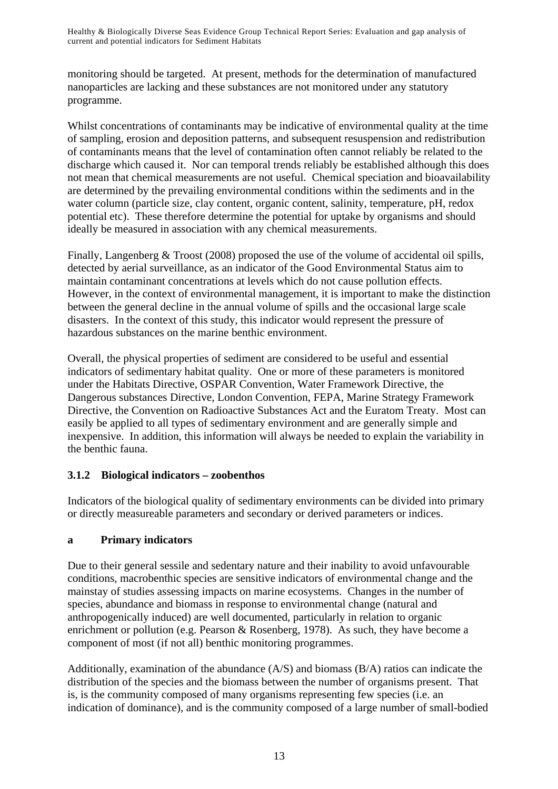monitoring should be targeted. At present, methods for the determination of manufactured nanoparticles are lacking and these substances are not monitored under any statutory programme.

Whilst concentrations of contaminants may be indicative of environmental quality at the time of sampling, erosion and deposition patterns, and subsequent resuspension and redistribution of contaminants means that the level of contamination often cannot reliably be related to the discharge which caused it. Nor can temporal trends reliably be established although this does not mean that chemical measurements are not useful. Chemical speciation and bioavailability are determined by the prevailing environmental conditions within the sediments and in the water column (particle size, clay content, organic content, salinity, temperature, pH, redox potential etc). These therefore determine the potential for uptake by organisms and should ideally be measured in association with any chemical measurements.

Finally, Langenberg & Troost (2008) proposed the use of the volume of accidental oil spills, detected by aerial surveillance, as an indicator of the Good Environmental Status aim to maintain contaminant concentrations at levels which do not cause pollution effects. However, in the context of environmental management, it is important to make the distinction between the general decline in the annual volume of spills and the occasional large scale disasters. In the context of this study, this indicator would represent the pressure of hazardous substances on the marine benthic environment.

Overall, the physical properties of sediment are considered to be useful and essential indicators of sedimentary habitat quality. One or more of these parameters is monitored under the Habitats Directive, OSPAR Convention, Water Framework Directive, the Dangerous substances Directive, London Convention, FEPA, Marine Strategy Framework Directive, the Convention on Radioactive Substances Act and the Euratom Treaty. Most can easily be applied to all types of sedimentary environment and are generally simple and inexpensive. In addition, this information will always be needed to explain the variability in the benthic fauna.

## **3.1.2 Biological indicators – zoobenthos**

Indicators of the biological quality of sedimentary environments can be divided into primary or directly measureable parameters and secondary or derived parameters or indices.

## **a Primary indicators**

Due to their general sessile and sedentary nature and their inability to avoid unfavourable conditions, macrobenthic species are sensitive indicators of environmental change and the mainstay of studies assessing impacts on marine ecosystems. Changes in the number of species, abundance and biomass in response to environmental change (natural and anthropogenically induced) are well documented, particularly in relation to organic enrichment or pollution (e.g. Pearson & Rosenberg, 1978). As such, they have become a component of most (if not all) benthic monitoring programmes.

Additionally, examination of the abundance (A/S) and biomass (B/A) ratios can indicate the distribution of the species and the biomass between the number of organisms present. That is, is the community composed of many organisms representing few species (i.e. an indication of dominance), and is the community composed of a large number of small-bodied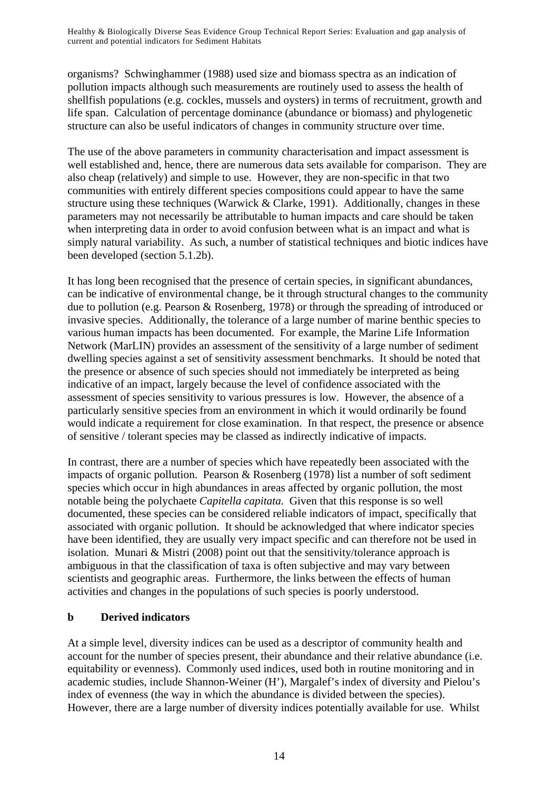organisms? Schwinghammer (1988) used size and biomass spectra as an indication of pollution impacts although such measurements are routinely used to assess the health of shellfish populations (e.g. cockles, mussels and oysters) in terms of recruitment, growth and life span. Calculation of percentage dominance (abundance or biomass) and phylogenetic structure can also be useful indicators of changes in community structure over time.

The use of the above parameters in community characterisation and impact assessment is well established and, hence, there are numerous data sets available for comparison. They are also cheap (relatively) and simple to use. However, they are non-specific in that two communities with entirely different species compositions could appear to have the same structure using these techniques (Warwick & Clarke, 1991). Additionally, changes in these parameters may not necessarily be attributable to human impacts and care should be taken when interpreting data in order to avoid confusion between what is an impact and what is simply natural variability. As such, a number of statistical techniques and biotic indices have been developed (section 5.1.2b).

It has long been recognised that the presence of certain species, in significant abundances, can be indicative of environmental change, be it through structural changes to the community due to pollution (e.g. Pearson & Rosenberg, 1978) or through the spreading of introduced or invasive species. Additionally, the tolerance of a large number of marine benthic species to various human impacts has been documented. For example, the Marine Life Information Network (MarLIN) provides an assessment of the sensitivity of a large number of sediment dwelling species against a set of sensitivity assessment benchmarks. It should be noted that the presence or absence of such species should not immediately be interpreted as being indicative of an impact, largely because the level of confidence associated with the assessment of species sensitivity to various pressures is low. However, the absence of a particularly sensitive species from an environment in which it would ordinarily be found would indicate a requirement for close examination. In that respect, the presence or absence of sensitive / tolerant species may be classed as indirectly indicative of impacts.

In contrast, there are a number of species which have repeatedly been associated with the impacts of organic pollution. Pearson & Rosenberg (1978) list a number of soft sediment species which occur in high abundances in areas affected by organic pollution, the most notable being the polychaete *Capitella capitata*. Given that this response is so well documented, these species can be considered reliable indicators of impact, specifically that associated with organic pollution. It should be acknowledged that where indicator species have been identified, they are usually very impact specific and can therefore not be used in isolation. Munari & Mistri (2008) point out that the sensitivity/tolerance approach is ambiguous in that the classification of taxa is often subjective and may vary between scientists and geographic areas. Furthermore, the links between the effects of human activities and changes in the populations of such species is poorly understood.

#### **b Derived indicators**

At a simple level, diversity indices can be used as a descriptor of community health and account for the number of species present, their abundance and their relative abundance (i.e. equitability or evenness). Commonly used indices, used both in routine monitoring and in academic studies, include Shannon-Weiner (H'), Margalef's index of diversity and Pielou's index of evenness (the way in which the abundance is divided between the species). However, there are a large number of diversity indices potentially available for use. Whilst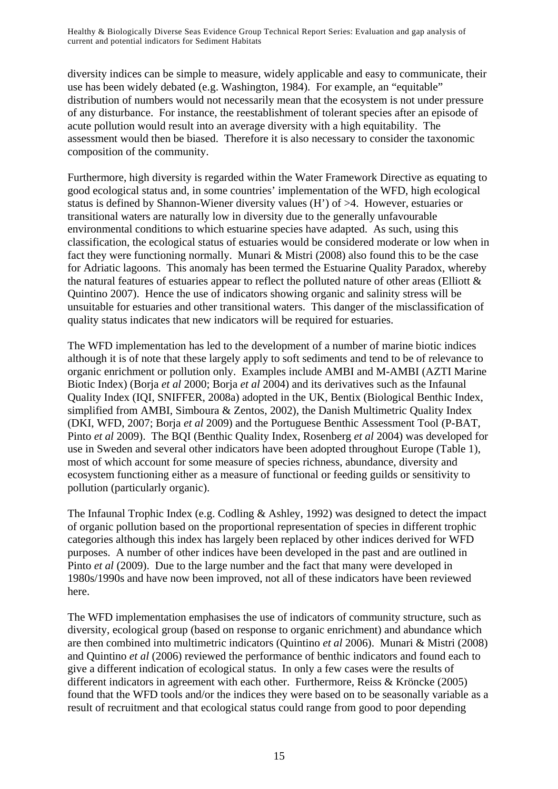diversity indices can be simple to measure, widely applicable and easy to communicate, their use has been widely debated (e.g. Washington, 1984). For example, an "equitable" distribution of numbers would not necessarily mean that the ecosystem is not under pressure of any disturbance. For instance, the reestablishment of tolerant species after an episode of acute pollution would result into an average diversity with a high equitability. The assessment would then be biased. Therefore it is also necessary to consider the taxonomic composition of the community.

Furthermore, high diversity is regarded within the Water Framework Directive as equating to good ecological status and, in some countries' implementation of the WFD, high ecological status is defined by Shannon-Wiener diversity values (H') of >4. However, estuaries or transitional waters are naturally low in diversity due to the generally unfavourable environmental conditions to which estuarine species have adapted. As such, using this classification, the ecological status of estuaries would be considered moderate or low when in fact they were functioning normally. Munari & Mistri (2008) also found this to be the case for Adriatic lagoons. This anomaly has been termed the Estuarine Quality Paradox, whereby the natural features of estuaries appear to reflect the polluted nature of other areas (Elliott & Quintino 2007). Hence the use of indicators showing organic and salinity stress will be unsuitable for estuaries and other transitional waters. This danger of the misclassification of quality status indicates that new indicators will be required for estuaries.

The WFD implementation has led to the development of a number of marine biotic indices although it is of note that these largely apply to soft sediments and tend to be of relevance to organic enrichment or pollution only. Examples include AMBI and M-AMBI (AZTI Marine Biotic Index) (Borja *et al* 2000; Borja *et al* 2004) and its derivatives such as the Infaunal Quality Index (IQI, SNIFFER, 2008a) adopted in the UK, Bentix (Biological Benthic Index, simplified from AMBI, Simboura & Zentos, 2002), the Danish Multimetric Quality Index (DKI, WFD, 2007; Borja *et al* 2009) and the Portuguese Benthic Assessment Tool (P-BAT, Pinto *et al* 2009). The BQI (Benthic Quality Index, Rosenberg *et al* 2004) was developed for use in Sweden and several other indicators have been adopted throughout Europe (Table 1), most of which account for some measure of species richness, abundance, diversity and ecosystem functioning either as a measure of functional or feeding guilds or sensitivity to pollution (particularly organic).

The Infaunal Trophic Index (e.g. Codling & Ashley, 1992) was designed to detect the impact of organic pollution based on the proportional representation of species in different trophic categories although this index has largely been replaced by other indices derived for WFD purposes. A number of other indices have been developed in the past and are outlined in Pinto *et al* (2009). Due to the large number and the fact that many were developed in 1980s/1990s and have now been improved, not all of these indicators have been reviewed here.

The WFD implementation emphasises the use of indicators of community structure, such as diversity, ecological group (based on response to organic enrichment) and abundance which are then combined into multimetric indicators (Quintino *et al* 2006). Munari & Mistri (2008) and Quintino *et al* (2006) reviewed the performance of benthic indicators and found each to give a different indication of ecological status. In only a few cases were the results of different indicators in agreement with each other. Furthermore, Reiss & Kröncke (2005) found that the WFD tools and/or the indices they were based on to be seasonally variable as a result of recruitment and that ecological status could range from good to poor depending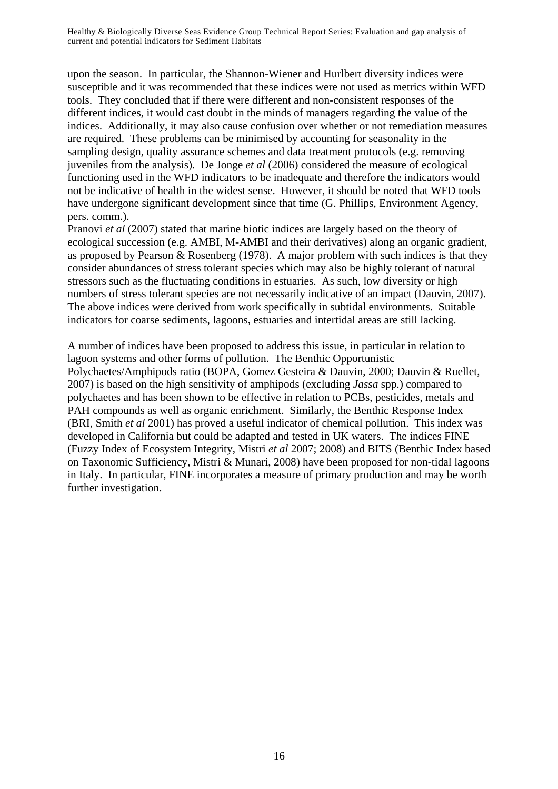upon the season. In particular, the Shannon-Wiener and Hurlbert diversity indices were susceptible and it was recommended that these indices were not used as metrics within WFD tools. They concluded that if there were different and non-consistent responses of the different indices, it would cast doubt in the minds of managers regarding the value of the indices. Additionally, it may also cause confusion over whether or not remediation measures are required. These problems can be minimised by accounting for seasonality in the sampling design, quality assurance schemes and data treatment protocols (e.g. removing juveniles from the analysis). De Jonge *et al* (2006) considered the measure of ecological functioning used in the WFD indicators to be inadequate and therefore the indicators would not be indicative of health in the widest sense. However, it should be noted that WFD tools have undergone significant development since that time (G. Phillips, Environment Agency, pers. comm.).

Pranovi *et al* (2007) stated that marine biotic indices are largely based on the theory of ecological succession (e.g. AMBI, M-AMBI and their derivatives) along an organic gradient, as proposed by Pearson & Rosenberg (1978). A major problem with such indices is that they consider abundances of stress tolerant species which may also be highly tolerant of natural stressors such as the fluctuating conditions in estuaries. As such, low diversity or high numbers of stress tolerant species are not necessarily indicative of an impact (Dauvin, 2007). The above indices were derived from work specifically in subtidal environments. Suitable indicators for coarse sediments, lagoons, estuaries and intertidal areas are still lacking.

A number of indices have been proposed to address this issue, in particular in relation to lagoon systems and other forms of pollution. The Benthic Opportunistic Polychaetes/Amphipods ratio (BOPA, Gomez Gesteira & Dauvin, 2000; Dauvin & Ruellet, 2007) is based on the high sensitivity of amphipods (excluding *Jassa* spp.) compared to polychaetes and has been shown to be effective in relation to PCBs, pesticides, metals and PAH compounds as well as organic enrichment. Similarly, the Benthic Response Index (BRI, Smith *et al* 2001) has proved a useful indicator of chemical pollution. This index was developed in California but could be adapted and tested in UK waters. The indices FINE (Fuzzy Index of Ecosystem Integrity, Mistri *et al* 2007; 2008) and BITS (Benthic Index based on Taxonomic Sufficiency, Mistri & Munari, 2008) have been proposed for non-tidal lagoons in Italy. In particular, FINE incorporates a measure of primary production and may be worth further investigation.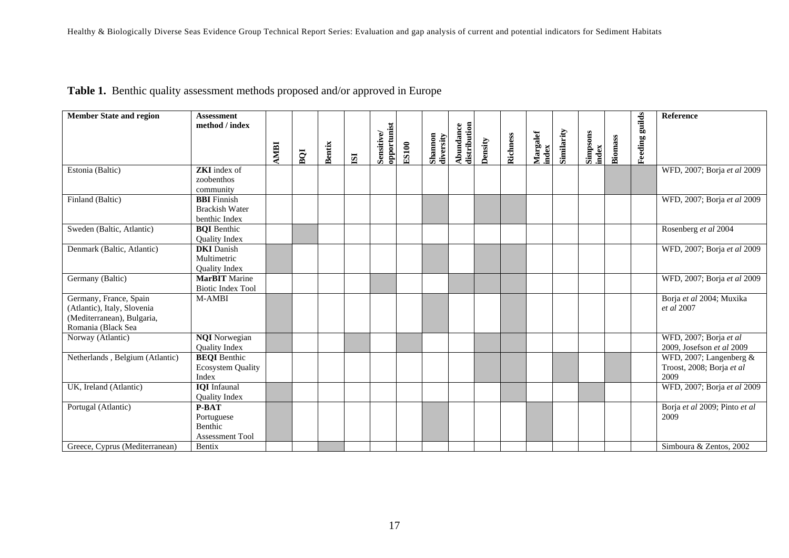|  |  | Table 1. Benthic quality assessment methods proposed and/or approved in Europe |
|--|--|--------------------------------------------------------------------------------|
|  |  |                                                                                |

| <b>Member State and region</b>  | <b>Assessment</b>                |             |     |               |                         |                           |              |                      |                           |         |          |                   |            |                   |                |                       | Reference                           |
|---------------------------------|----------------------------------|-------------|-----|---------------|-------------------------|---------------------------|--------------|----------------------|---------------------------|---------|----------|-------------------|------------|-------------------|----------------|-----------------------|-------------------------------------|
|                                 | method / index                   |             |     |               |                         |                           |              |                      |                           |         |          |                   |            |                   |                |                       |                                     |
|                                 |                                  |             |     |               |                         |                           |              |                      |                           |         |          |                   |            |                   |                |                       |                                     |
|                                 |                                  | <b>AMBI</b> | BQI | <b>Bentix</b> | $\overline{\mathbf{S}}$ | opportunist<br>Sensitive/ | <b>ES100</b> | Shannon<br>diversity | distribution<br>Abundance | Density | Richness | Margalef<br>index | Similarity | Simpsons<br>index | <b>Biomass</b> | <b>Feeding guilds</b> |                                     |
| Estonia (Baltic)                | <b>ZKI</b> index of              |             |     |               |                         |                           |              |                      |                           |         |          |                   |            |                   |                |                       | WFD, 2007; Borja et al 2009         |
|                                 | zoobenthos                       |             |     |               |                         |                           |              |                      |                           |         |          |                   |            |                   |                |                       |                                     |
|                                 | community                        |             |     |               |                         |                           |              |                      |                           |         |          |                   |            |                   |                |                       |                                     |
| Finland (Baltic)                | <b>BBI</b> Finnish               |             |     |               |                         |                           |              |                      |                           |         |          |                   |            |                   |                |                       | WFD, 2007; Borja et al 2009         |
|                                 | <b>Brackish Water</b>            |             |     |               |                         |                           |              |                      |                           |         |          |                   |            |                   |                |                       |                                     |
|                                 | benthic Index                    |             |     |               |                         |                           |              |                      |                           |         |          |                   |            |                   |                |                       |                                     |
| Sweden (Baltic, Atlantic)       | <b>BOI</b> Benthic               |             |     |               |                         |                           |              |                      |                           |         |          |                   |            |                   |                |                       | Rosenberg et al 2004                |
|                                 | <b>Quality Index</b>             |             |     |               |                         |                           |              |                      |                           |         |          |                   |            |                   |                |                       |                                     |
| Denmark (Baltic, Atlantic)      | <b>DKI</b> Danish<br>Multimetric |             |     |               |                         |                           |              |                      |                           |         |          |                   |            |                   |                |                       | WFD, 2007; Borja et al 2009         |
|                                 | Quality Index                    |             |     |               |                         |                           |              |                      |                           |         |          |                   |            |                   |                |                       |                                     |
| Germany (Baltic)                | <b>MarBIT</b> Marine             |             |     |               |                         |                           |              |                      |                           |         |          |                   |            |                   |                |                       | WFD, 2007; Borja et al 2009         |
|                                 | <b>Biotic Index Tool</b>         |             |     |               |                         |                           |              |                      |                           |         |          |                   |            |                   |                |                       |                                     |
| Germany, France, Spain          | M-AMBI                           |             |     |               |                         |                           |              |                      |                           |         |          |                   |            |                   |                |                       | Borja et al 2004; Muxika            |
| (Atlantic), Italy, Slovenia     |                                  |             |     |               |                         |                           |              |                      |                           |         |          |                   |            |                   |                |                       | <i>et al</i> 2007                   |
| (Mediterranean), Bulgaria,      |                                  |             |     |               |                         |                           |              |                      |                           |         |          |                   |            |                   |                |                       |                                     |
| Romania (Black Sea              |                                  |             |     |               |                         |                           |              |                      |                           |         |          |                   |            |                   |                |                       |                                     |
| Norway (Atlantic)               | <b>NQI</b> Norwegian             |             |     |               |                         |                           |              |                      |                           |         |          |                   |            |                   |                |                       | WFD, 2007; Borja et al              |
|                                 | Quality Index                    |             |     |               |                         |                           |              |                      |                           |         |          |                   |            |                   |                |                       | 2009, Josefson et al 2009           |
| Netherlands, Belgium (Atlantic) | <b>BEQI</b> Benthic              |             |     |               |                         |                           |              |                      |                           |         |          |                   |            |                   |                |                       | WFD, 2007; Langenberg $&$           |
|                                 | <b>Ecosystem Quality</b>         |             |     |               |                         |                           |              |                      |                           |         |          |                   |            |                   |                |                       | Troost, 2008; Borja et al           |
| UK, Ireland (Atlantic)          | Index<br><b>IQI</b> Infaunal     |             |     |               |                         |                           |              |                      |                           |         |          |                   |            |                   |                |                       | 2009<br>WFD, 2007; Borja et al 2009 |
|                                 | <b>Quality Index</b>             |             |     |               |                         |                           |              |                      |                           |         |          |                   |            |                   |                |                       |                                     |
| Portugal (Atlantic)             | <b>P-BAT</b>                     |             |     |               |                         |                           |              |                      |                           |         |          |                   |            |                   |                |                       | Borja et al 2009; Pinto et al       |
|                                 | Portuguese                       |             |     |               |                         |                           |              |                      |                           |         |          |                   |            |                   |                |                       | 2009                                |
|                                 | <b>Benthic</b>                   |             |     |               |                         |                           |              |                      |                           |         |          |                   |            |                   |                |                       |                                     |
|                                 | <b>Assessment Tool</b>           |             |     |               |                         |                           |              |                      |                           |         |          |                   |            |                   |                |                       |                                     |
| Greece, Cyprus (Mediterranean)  | Bentix                           |             |     |               |                         |                           |              |                      |                           |         |          |                   |            |                   |                |                       | Simboura & Zentos, 2002             |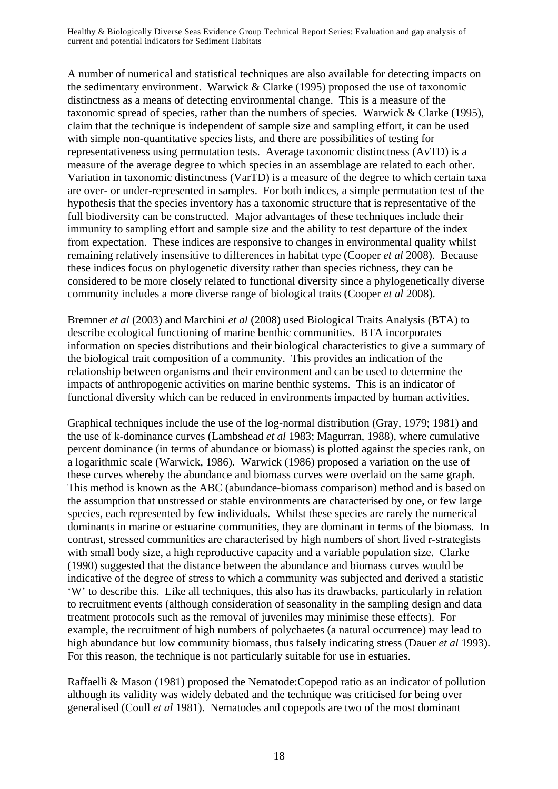A number of numerical and statistical techniques are also available for detecting impacts on the sedimentary environment. Warwick & Clarke (1995) proposed the use of taxonomic distinctness as a means of detecting environmental change. This is a measure of the taxonomic spread of species, rather than the numbers of species. Warwick & Clarke (1995), claim that the technique is independent of sample size and sampling effort, it can be used with simple non-quantitative species lists, and there are possibilities of testing for representativeness using permutation tests. Average taxonomic distinctness (AvTD) is a measure of the average degree to which species in an assemblage are related to each other. Variation in taxonomic distinctness (VarTD) is a measure of the degree to which certain taxa are over- or under-represented in samples. For both indices, a simple permutation test of the hypothesis that the species inventory has a taxonomic structure that is representative of the full biodiversity can be constructed. Major advantages of these techniques include their immunity to sampling effort and sample size and the ability to test departure of the index from expectation. These indices are responsive to changes in environmental quality whilst remaining relatively insensitive to differences in habitat type (Cooper *et al* 2008). Because these indices focus on phylogenetic diversity rather than species richness, they can be considered to be more closely related to functional diversity since a phylogenetically diverse community includes a more diverse range of biological traits (Cooper *et al* 2008).

Bremner *et al* (2003) and Marchini *et al* (2008) used Biological Traits Analysis (BTA) to describe ecological functioning of marine benthic communities. BTA incorporates information on species distributions and their biological characteristics to give a summary of the biological trait composition of a community. This provides an indication of the relationship between organisms and their environment and can be used to determine the impacts of anthropogenic activities on marine benthic systems. This is an indicator of functional diversity which can be reduced in environments impacted by human activities.

Graphical techniques include the use of the log-normal distribution (Gray, 1979; 1981) and the use of k-dominance curves (Lambshead *et al* 1983; Magurran, 1988), where cumulative percent dominance (in terms of abundance or biomass) is plotted against the species rank, on a logarithmic scale (Warwick, 1986). Warwick (1986) proposed a variation on the use of these curves whereby the abundance and biomass curves were overlaid on the same graph. This method is known as the ABC (abundance-biomass comparison) method and is based on the assumption that unstressed or stable environments are characterised by one, or few large species, each represented by few individuals. Whilst these species are rarely the numerical dominants in marine or estuarine communities, they are dominant in terms of the biomass. In contrast, stressed communities are characterised by high numbers of short lived r-strategists with small body size, a high reproductive capacity and a variable population size. Clarke (1990) suggested that the distance between the abundance and biomass curves would be indicative of the degree of stress to which a community was subjected and derived a statistic 'W' to describe this. Like all techniques, this also has its drawbacks, particularly in relation to recruitment events (although consideration of seasonality in the sampling design and data treatment protocols such as the removal of juveniles may minimise these effects). For example, the recruitment of high numbers of polychaetes (a natural occurrence) may lead to high abundance but low community biomass, thus falsely indicating stress (Dauer *et al* 1993). For this reason, the technique is not particularly suitable for use in estuaries.

Raffaelli & Mason (1981) proposed the Nematode:Copepod ratio as an indicator of pollution although its validity was widely debated and the technique was criticised for being over generalised (Coull *et al* 1981). Nematodes and copepods are two of the most dominant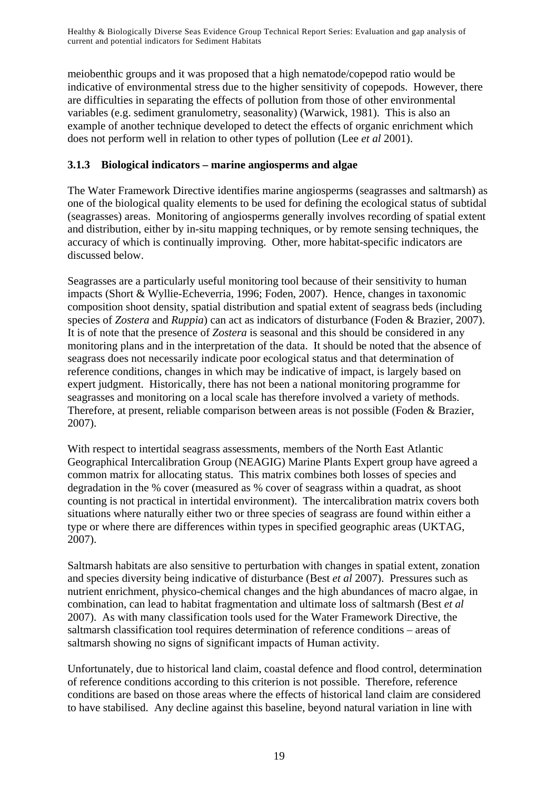meiobenthic groups and it was proposed that a high nematode/copepod ratio would be indicative of environmental stress due to the higher sensitivity of copepods. However, there are difficulties in separating the effects of pollution from those of other environmental variables (e.g. sediment granulometry, seasonality) (Warwick, 1981). This is also an example of another technique developed to detect the effects of organic enrichment which does not perform well in relation to other types of pollution (Lee *et al* 2001).

### **3.1.3 Biological indicators – marine angiosperms and algae**

The Water Framework Directive identifies marine angiosperms (seagrasses and saltmarsh) as one of the biological quality elements to be used for defining the ecological status of subtidal (seagrasses) areas. Monitoring of angiosperms generally involves recording of spatial extent and distribution, either by in-situ mapping techniques, or by remote sensing techniques, the accuracy of which is continually improving. Other, more habitat-specific indicators are discussed below.

Seagrasses are a particularly useful monitoring tool because of their sensitivity to human impacts (Short & Wyllie-Echeverria, 1996; Foden, 2007). Hence, changes in taxonomic composition shoot density, spatial distribution and spatial extent of seagrass beds (including species of *Zostera* and *Ruppia*) can act as indicators of disturbance (Foden & Brazier, 2007). It is of note that the presence of *Zostera* is seasonal and this should be considered in any monitoring plans and in the interpretation of the data. It should be noted that the absence of seagrass does not necessarily indicate poor ecological status and that determination of reference conditions, changes in which may be indicative of impact, is largely based on expert judgment. Historically, there has not been a national monitoring programme for seagrasses and monitoring on a local scale has therefore involved a variety of methods. Therefore, at present, reliable comparison between areas is not possible (Foden & Brazier, 2007).

With respect to intertidal seagrass assessments, members of the North East Atlantic Geographical Intercalibration Group (NEAGIG) Marine Plants Expert group have agreed a common matrix for allocating status. This matrix combines both losses of species and degradation in the % cover (measured as % cover of seagrass within a quadrat, as shoot counting is not practical in intertidal environment). The intercalibration matrix covers both situations where naturally either two or three species of seagrass are found within either a type or where there are differences within types in specified geographic areas (UKTAG, 2007).

Saltmarsh habitats are also sensitive to perturbation with changes in spatial extent, zonation and species diversity being indicative of disturbance (Best *et al* 2007). Pressures such as nutrient enrichment, physico-chemical changes and the high abundances of macro algae, in combination, can lead to habitat fragmentation and ultimate loss of saltmarsh (Best *et al* 2007). As with many classification tools used for the Water Framework Directive, the saltmarsh classification tool requires determination of reference conditions – areas of saltmarsh showing no signs of significant impacts of Human activity.

Unfortunately, due to historical land claim, coastal defence and flood control, determination of reference conditions according to this criterion is not possible. Therefore, reference conditions are based on those areas where the effects of historical land claim are considered to have stabilised. Any decline against this baseline, beyond natural variation in line with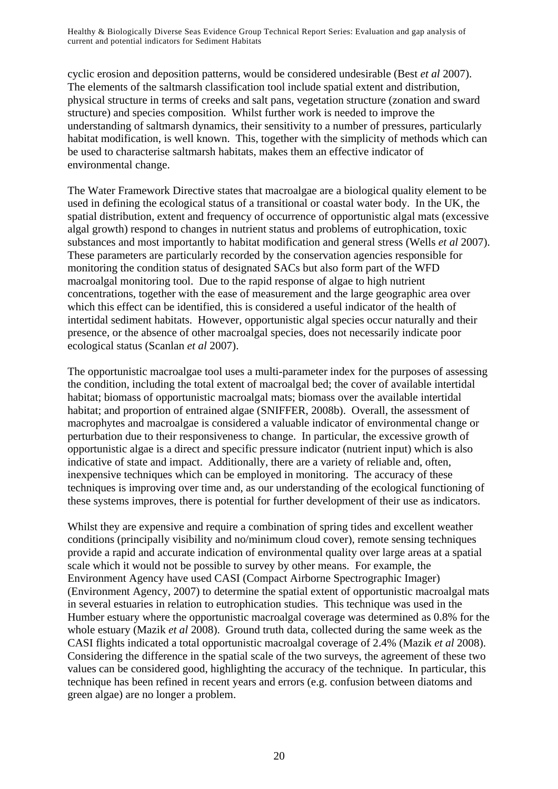cyclic erosion and deposition patterns, would be considered undesirable (Best *et al* 2007). The elements of the saltmarsh classification tool include spatial extent and distribution, physical structure in terms of creeks and salt pans, vegetation structure (zonation and sward structure) and species composition. Whilst further work is needed to improve the understanding of saltmarsh dynamics, their sensitivity to a number of pressures, particularly habitat modification, is well known. This, together with the simplicity of methods which can be used to characterise saltmarsh habitats, makes them an effective indicator of environmental change.

The Water Framework Directive states that macroalgae are a biological quality element to be used in defining the ecological status of a transitional or coastal water body. In the UK, the spatial distribution, extent and frequency of occurrence of opportunistic algal mats (excessive algal growth) respond to changes in nutrient status and problems of eutrophication, toxic substances and most importantly to habitat modification and general stress (Wells *et al* 2007). These parameters are particularly recorded by the conservation agencies responsible for monitoring the condition status of designated SACs but also form part of the WFD macroalgal monitoring tool. Due to the rapid response of algae to high nutrient concentrations, together with the ease of measurement and the large geographic area over which this effect can be identified, this is considered a useful indicator of the health of intertidal sediment habitats. However, opportunistic algal species occur naturally and their presence, or the absence of other macroalgal species, does not necessarily indicate poor ecological status (Scanlan *et al* 2007).

The opportunistic macroalgae tool uses a multi-parameter index for the purposes of assessing the condition, including the total extent of macroalgal bed; the cover of available intertidal habitat; biomass of opportunistic macroalgal mats; biomass over the available intertidal habitat; and proportion of entrained algae (SNIFFER, 2008b). Overall, the assessment of macrophytes and macroalgae is considered a valuable indicator of environmental change or perturbation due to their responsiveness to change. In particular, the excessive growth of opportunistic algae is a direct and specific pressure indicator (nutrient input) which is also indicative of state and impact. Additionally, there are a variety of reliable and, often, inexpensive techniques which can be employed in monitoring. The accuracy of these techniques is improving over time and, as our understanding of the ecological functioning of these systems improves, there is potential for further development of their use as indicators.

Whilst they are expensive and require a combination of spring tides and excellent weather conditions (principally visibility and no/minimum cloud cover), remote sensing techniques provide a rapid and accurate indication of environmental quality over large areas at a spatial scale which it would not be possible to survey by other means. For example, the Environment Agency have used CASI (Compact Airborne Spectrographic Imager) (Environment Agency, 2007) to determine the spatial extent of opportunistic macroalgal mats in several estuaries in relation to eutrophication studies. This technique was used in the Humber estuary where the opportunistic macroalgal coverage was determined as 0.8% for the whole estuary (Mazik *et al* 2008). Ground truth data, collected during the same week as the CASI flights indicated a total opportunistic macroalgal coverage of 2.4% (Mazik *et al* 2008). Considering the difference in the spatial scale of the two surveys, the agreement of these two values can be considered good, highlighting the accuracy of the technique. In particular, this technique has been refined in recent years and errors (e.g. confusion between diatoms and green algae) are no longer a problem.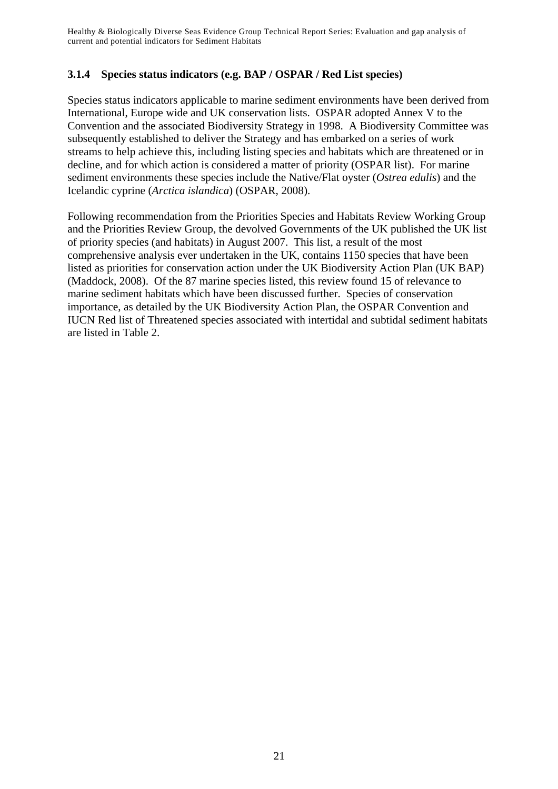### **3.1.4 Species status indicators (e.g. BAP / OSPAR / Red List species)**

Species status indicators applicable to marine sediment environments have been derived from International, Europe wide and UK conservation lists. OSPAR adopted Annex V to the Convention and the associated Biodiversity Strategy in 1998. A Biodiversity Committee was subsequently established to deliver the Strategy and has embarked on a series of work streams to help achieve this, including listing species and habitats which are threatened or in decline, and for which action is considered a matter of priority (OSPAR list). For marine sediment environments these species include the Native/Flat oyster (*Ostrea edulis*) and the Icelandic cyprine (*Arctica islandica*) (OSPAR, 2008).

Following recommendation from the Priorities Species and Habitats Review Working Group and the Priorities Review Group, the devolved Governments of the UK published the UK list of priority species (and habitats) in August 2007. This list, a result of the most comprehensive analysis ever undertaken in the UK, contains 1150 species that have been listed as priorities for conservation action under the UK Biodiversity Action Plan (UK BAP) (Maddock, 2008). Of the 87 marine species listed, this review found 15 of relevance to marine sediment habitats which have been discussed further. Species of conservation importance, as detailed by the UK Biodiversity Action Plan, the OSPAR Convention and IUCN Red list of Threatened species associated with intertidal and subtidal sediment habitats are listed in Table 2.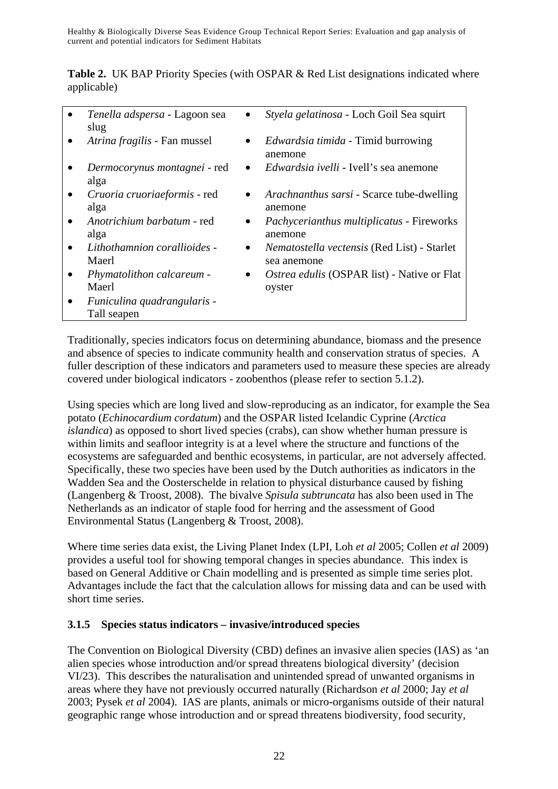|             | <b>Table 2.</b> UK BAP Priority Species (with OSPAR & Red List designations indicated where |  |  |  |
|-------------|---------------------------------------------------------------------------------------------|--|--|--|
| applicable) |                                                                                             |  |  |  |

| Tenella adspersa - Lagoon sea<br>slug      |           | Styela gelatinosa - Loch Goil Sea squirt                          |
|--------------------------------------------|-----------|-------------------------------------------------------------------|
| Atrina fragilis - Fan mussel               | $\bullet$ | <i>Edwardsia timida</i> - Timid burrowing<br>anemone              |
| Dermocorynus montagnei - red<br>alga       | $\bullet$ | <i>Edwardsia ivelli</i> - Ivell's sea anemone                     |
| Cruoria cruoriaeformis - red<br>alga       | $\bullet$ | <i>Arachnanthus sarsi</i> - Scarce tube-dwelling<br>anemone       |
| Anotrichium barbatum - red<br>alga         | $\bullet$ | <i>Pachycerianthus multiplicatus - Fireworks</i><br>anemone       |
| Lithothamnion corallioides -<br>Maerl      | $\bullet$ | <i>Nematostella vectensis</i> (Red List) - Starlet<br>sea anemone |
| Phymatolithon calcareum -<br>Maerl         | $\bullet$ | Ostrea edulis (OSPAR list) - Native or Flat<br>oyster             |
| Funiculina quadrangularis -<br>Tall seapen |           |                                                                   |
|                                            |           |                                                                   |

Traditionally, species indicators focus on determining abundance, biomass and the presence and absence of species to indicate community health and conservation stratus of species. A fuller description of these indicators and parameters used to measure these species are already covered under biological indicators - zoobenthos (please refer to section 5.1.2).

Using species which are long lived and slow-reproducing as an indicator, for example the Sea potato (*Echinocardium cordatum*) and the OSPAR listed Icelandic Cyprine (*Arctica islandica*) as opposed to short lived species (crabs), can show whether human pressure is within limits and seafloor integrity is at a level where the structure and functions of the ecosystems are safeguarded and benthic ecosystems, in particular, are not adversely affected. Specifically, these two species have been used by the Dutch authorities as indicators in the Wadden Sea and the Oosterschelde in relation to physical disturbance caused by fishing (Langenberg & Troost, 2008). The bivalve *Spisula subtruncata* has also been used in The Netherlands as an indicator of staple food for herring and the assessment of Good Environmental Status (Langenberg & Troost, 2008).

Where time series data exist, the Living Planet Index (LPI, Loh *et al* 2005; Collen *et al* 2009) provides a useful tool for showing temporal changes in species abundance. This index is based on General Additive or Chain modelling and is presented as simple time series plot. Advantages include the fact that the calculation allows for missing data and can be used with short time series.

#### **3.1.5 Species status indicators – invasive/introduced species**

The Convention on Biological Diversity (CBD) defines an invasive alien species (IAS) as 'an alien species whose introduction and/or spread threatens biological diversity' (decision VI/23). This describes the naturalisation and unintended spread of unwanted organisms in areas where they have not previously occurred naturally (Richardson *et al* 2000; Jay *et al* 2003; Pysek *et al* 2004). IAS are plants, animals or micro-organisms outside of their natural geographic range whose introduction and or spread threatens biodiversity, food security,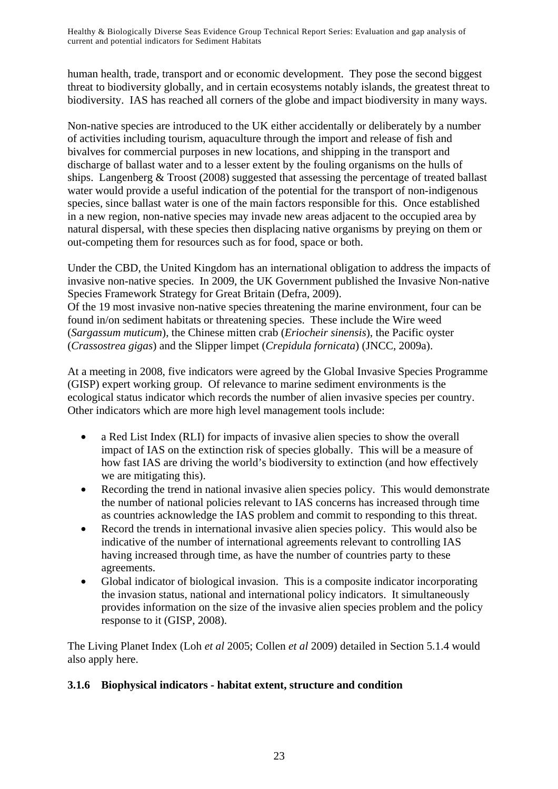human health, trade, transport and or economic development. They pose the second biggest threat to biodiversity globally, and in certain ecosystems notably islands, the greatest threat to biodiversity. IAS has reached all corners of the globe and impact biodiversity in many ways.

Non-native species are introduced to the UK either accidentally or deliberately by a number of activities including tourism, aquaculture through the import and release of fish and bivalves for commercial purposes in new locations, and shipping in the transport and discharge of ballast water and to a lesser extent by the fouling organisms on the hulls of ships. Langenberg & Troost (2008) suggested that assessing the percentage of treated ballast water would provide a useful indication of the potential for the transport of non-indigenous species, since ballast water is one of the main factors responsible for this. Once established in a new region, non-native species may invade new areas adjacent to the occupied area by natural dispersal, with these species then displacing native organisms by preying on them or out-competing them for resources such as for food, space or both.

Under the CBD, the United Kingdom has an international obligation to address the impacts of invasive non-native species. In 2009, the UK Government published the Invasive Non-native Species Framework Strategy for Great Britain (Defra, 2009). Of the 19 most invasive non-native species threatening the marine environment, four can be found in/on sediment habitats or threatening species. These include the Wire weed (*Sargassum muticum*), the Chinese mitten crab (*Eriocheir sinensis*), the Pacific oyster (*Crassostrea gigas*) and the Slipper limpet (*Crepidula fornicata*) (JNCC, 2009a).

At a meeting in 2008, five indicators were agreed by the Global Invasive Species Programme (GISP) expert working group. Of relevance to marine sediment environments is the ecological status indicator which records the number of alien invasive species per country. Other indicators which are more high level management tools include:

- a Red List Index (RLI) for impacts of invasive alien species to show the overall impact of IAS on the extinction risk of species globally. This will be a measure of how fast IAS are driving the world's biodiversity to extinction (and how effectively we are mitigating this).
- Recording the trend in national invasive alien species policy. This would demonstrate the number of national policies relevant to IAS concerns has increased through time as countries acknowledge the IAS problem and commit to responding to this threat.
- Record the trends in international invasive alien species policy. This would also be indicative of the number of international agreements relevant to controlling IAS having increased through time, as have the number of countries party to these agreements.
- Global indicator of biological invasion. This is a composite indicator incorporating the invasion status, national and international policy indicators. It simultaneously provides information on the size of the invasive alien species problem and the policy response to it (GISP, 2008).

The Living Planet Index (Loh *et al* 2005; Collen *et al* 2009) detailed in Section 5.1.4 would also apply here.

## **3.1.6 Biophysical indicators - habitat extent, structure and condition**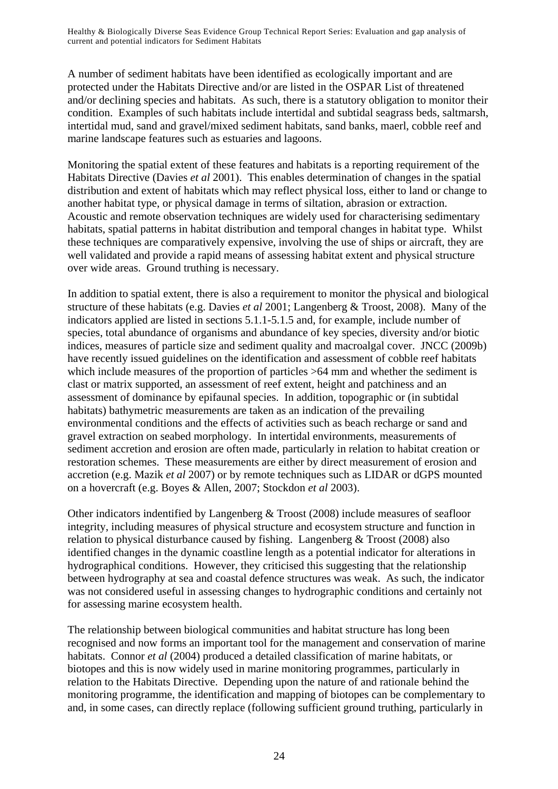A number of sediment habitats have been identified as ecologically important and are protected under the Habitats Directive and/or are listed in the OSPAR List of threatened and/or declining species and habitats. As such, there is a statutory obligation to monitor their condition. Examples of such habitats include intertidal and subtidal seagrass beds, saltmarsh, intertidal mud, sand and gravel/mixed sediment habitats, sand banks, maerl, cobble reef and marine landscape features such as estuaries and lagoons.

Monitoring the spatial extent of these features and habitats is a reporting requirement of the Habitats Directive (Davies *et al* 2001). This enables determination of changes in the spatial distribution and extent of habitats which may reflect physical loss, either to land or change to another habitat type, or physical damage in terms of siltation, abrasion or extraction. Acoustic and remote observation techniques are widely used for characterising sedimentary habitats, spatial patterns in habitat distribution and temporal changes in habitat type. Whilst these techniques are comparatively expensive, involving the use of ships or aircraft, they are well validated and provide a rapid means of assessing habitat extent and physical structure over wide areas. Ground truthing is necessary.

In addition to spatial extent, there is also a requirement to monitor the physical and biological structure of these habitats (e.g. Davies *et al* 2001; Langenberg & Troost, 2008). Many of the indicators applied are listed in sections 5.1.1-5.1.5 and, for example, include number of species, total abundance of organisms and abundance of key species, diversity and/or biotic indices, measures of particle size and sediment quality and macroalgal cover. JNCC (2009b) have recently issued guidelines on the identification and assessment of cobble reef habitats which include measures of the proportion of particles  $>64$  mm and whether the sediment is clast or matrix supported, an assessment of reef extent, height and patchiness and an assessment of dominance by epifaunal species. In addition, topographic or (in subtidal habitats) bathymetric measurements are taken as an indication of the prevailing environmental conditions and the effects of activities such as beach recharge or sand and gravel extraction on seabed morphology. In intertidal environments, measurements of sediment accretion and erosion are often made, particularly in relation to habitat creation or restoration schemes. These measurements are either by direct measurement of erosion and accretion (e.g. Mazik *et al* 2007) or by remote techniques such as LIDAR or dGPS mounted on a hovercraft (e.g. Boyes & Allen, 2007; Stockdon *et al* 2003).

Other indicators indentified by Langenberg & Troost (2008) include measures of seafloor integrity, including measures of physical structure and ecosystem structure and function in relation to physical disturbance caused by fishing. Langenberg & Troost (2008) also identified changes in the dynamic coastline length as a potential indicator for alterations in hydrographical conditions. However, they criticised this suggesting that the relationship between hydrography at sea and coastal defence structures was weak. As such, the indicator was not considered useful in assessing changes to hydrographic conditions and certainly not for assessing marine ecosystem health.

The relationship between biological communities and habitat structure has long been recognised and now forms an important tool for the management and conservation of marine habitats. Connor *et al* (2004) produced a detailed classification of marine habitats, or biotopes and this is now widely used in marine monitoring programmes, particularly in relation to the Habitats Directive. Depending upon the nature of and rationale behind the monitoring programme, the identification and mapping of biotopes can be complementary to and, in some cases, can directly replace (following sufficient ground truthing, particularly in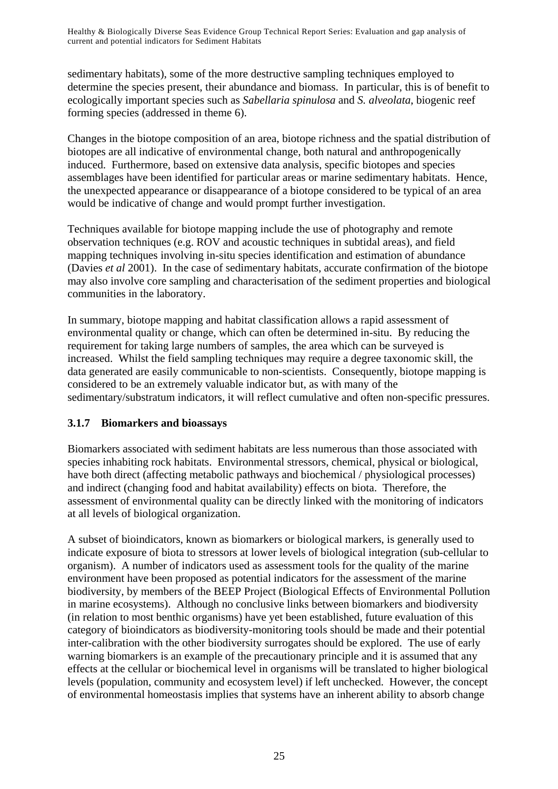sedimentary habitats), some of the more destructive sampling techniques employed to determine the species present, their abundance and biomass. In particular, this is of benefit to ecologically important species such as *Sabellaria spinulosa* and *S. alveolata*, biogenic reef forming species (addressed in theme 6).

Changes in the biotope composition of an area, biotope richness and the spatial distribution of biotopes are all indicative of environmental change, both natural and anthropogenically induced. Furthermore, based on extensive data analysis, specific biotopes and species assemblages have been identified for particular areas or marine sedimentary habitats. Hence, the unexpected appearance or disappearance of a biotope considered to be typical of an area would be indicative of change and would prompt further investigation.

Techniques available for biotope mapping include the use of photography and remote observation techniques (e.g. ROV and acoustic techniques in subtidal areas), and field mapping techniques involving in-situ species identification and estimation of abundance (Davies *et al* 2001). In the case of sedimentary habitats, accurate confirmation of the biotope may also involve core sampling and characterisation of the sediment properties and biological communities in the laboratory.

In summary, biotope mapping and habitat classification allows a rapid assessment of environmental quality or change, which can often be determined in-situ. By reducing the requirement for taking large numbers of samples, the area which can be surveyed is increased. Whilst the field sampling techniques may require a degree taxonomic skill, the data generated are easily communicable to non-scientists. Consequently, biotope mapping is considered to be an extremely valuable indicator but, as with many of the sedimentary/substratum indicators, it will reflect cumulative and often non-specific pressures.

#### **3.1.7 Biomarkers and bioassays**

Biomarkers associated with sediment habitats are less numerous than those associated with species inhabiting rock habitats. Environmental stressors, chemical, physical or biological, have both direct (affecting metabolic pathways and biochemical / physiological processes) and indirect (changing food and habitat availability) effects on biota. Therefore, the assessment of environmental quality can be directly linked with the monitoring of indicators at all levels of biological organization.

A subset of bioindicators, known as biomarkers or biological markers, is generally used to indicate exposure of biota to stressors at lower levels of biological integration (sub-cellular to organism). A number of indicators used as assessment tools for the quality of the marine environment have been proposed as potential indicators for the assessment of the marine biodiversity, by members of the BEEP Project (Biological Effects of Environmental Pollution in marine ecosystems). Although no conclusive links between biomarkers and biodiversity (in relation to most benthic organisms) have yet been established, future evaluation of this category of bioindicators as biodiversity-monitoring tools should be made and their potential inter-calibration with the other biodiversity surrogates should be explored. The use of early warning biomarkers is an example of the precautionary principle and it is assumed that any effects at the cellular or biochemical level in organisms will be translated to higher biological levels (population, community and ecosystem level) if left unchecked. However, the concept of environmental homeostasis implies that systems have an inherent ability to absorb change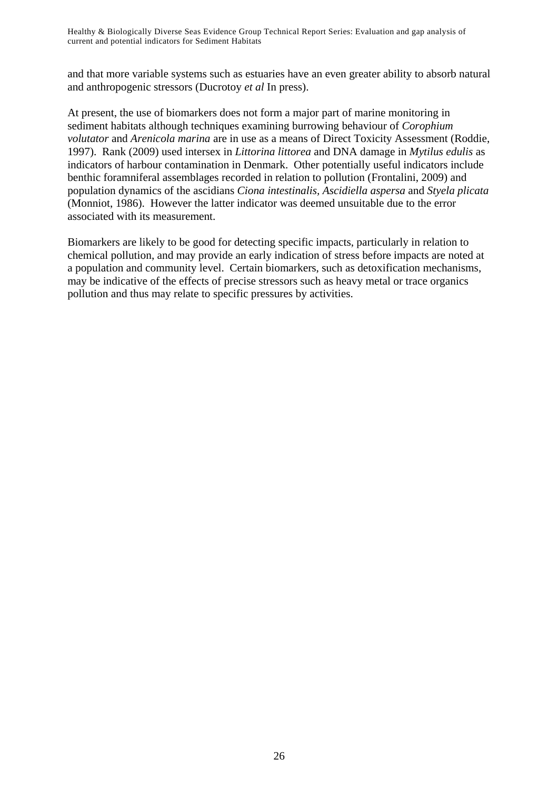and that more variable systems such as estuaries have an even greater ability to absorb natural and anthropogenic stressors (Ducrotoy *et al* In press).

At present, the use of biomarkers does not form a major part of marine monitoring in sediment habitats although techniques examining burrowing behaviour of *Corophium volutator* and *Arenicola marina* are in use as a means of Direct Toxicity Assessment (Roddie, 1997). Rank (2009) used intersex in *Littorina littorea* and DNA damage in *Mytilus edulis* as indicators of harbour contamination in Denmark. Other potentially useful indicators include benthic foramniferal assemblages recorded in relation to pollution (Frontalini, 2009) and population dynamics of the ascidians *Ciona intestinalis, Ascidiella aspersa* and *Styela plicata* (Monniot, 1986). However the latter indicator was deemed unsuitable due to the error associated with its measurement.

Biomarkers are likely to be good for detecting specific impacts, particularly in relation to chemical pollution, and may provide an early indication of stress before impacts are noted at a population and community level. Certain biomarkers, such as detoxification mechanisms, may be indicative of the effects of precise stressors such as heavy metal or trace organics pollution and thus may relate to specific pressures by activities.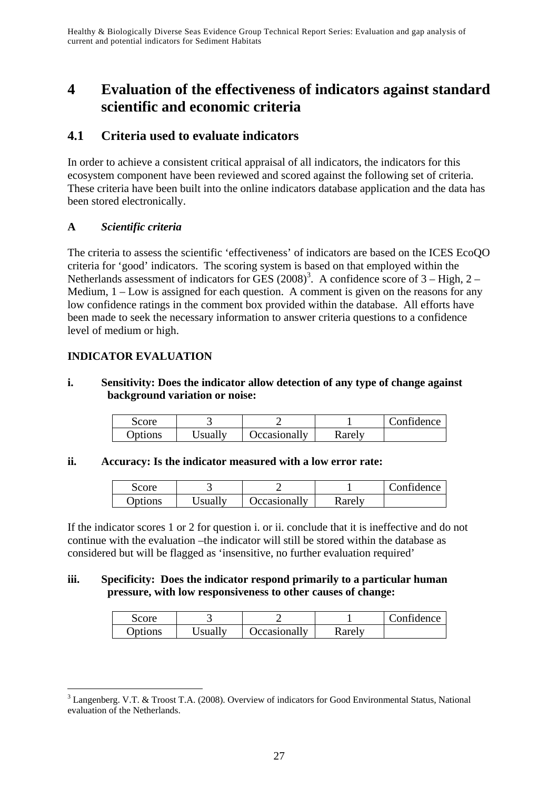# **4 Evaluation of the effectiveness of indicators against standard scientific and economic criteria**

# **4.1 Criteria used to evaluate indicators**

In order to achieve a consistent critical appraisal of all indicators, the indicators for this ecosystem component have been reviewed and scored against the following set of criteria. These criteria have been built into the online indicators database application and the data has been stored electronically.

#### **A** *Scientific criteria*

The criteria to assess the scientific 'effectiveness' of indicators are based on the ICES EcoQO criteria for 'good' indicators. The scoring system is based on that employed within the Netherlands assessment of indicators for GES  $(2008)^3$ . A confidence score of 3 – High, 2 – Medium,  $1 - Low$  is assigned for each question. A comment is given on the reasons for any low confidence ratings in the comment box provided within the database. All efforts have been made to seek the necessary information to answer criteria questions to a confidence level of medium or high.

### **INDICATOR EVALUATION**

#### **i. Sensitivity: Does the indicator allow detection of any type of change against background variation or noise:**

| Score   |         |              |        | Confidence |
|---------|---------|--------------|--------|------------|
| Options | Jsually | Occasionally | Rarely |            |

#### **ii. Accuracy: Is the indicator measured with a low error rate:**

| score   |         |              |        | Confidence |
|---------|---------|--------------|--------|------------|
| Options | Usually | Occasionally | Rarely |            |

If the indicator scores 1 or 2 for question i. or ii. conclude that it is ineffective and do not continue with the evaluation –the indicator will still be stored within the database as considered but will be flagged as 'insensitive, no further evaluation required'

#### **iii. Specificity: Does the indicator respond primarily to a particular human pressure, with low responsiveness to other causes of change:**

| <b>Score</b> |         |              |        | Confidence |
|--------------|---------|--------------|--------|------------|
| Options      | Jsually | Jecasionally | Rarelv |            |

 $\overline{a}$ <sup>3</sup> Langenberg. V.T. & Troost T.A. (2008). Overview of indicators for Good Environmental Status, National evaluation of the Netherlands.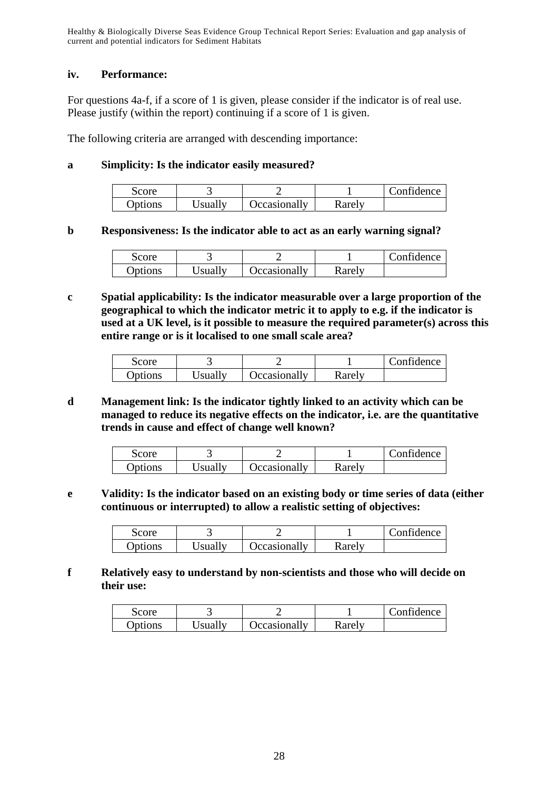#### **iv. Performance:**

For questions 4a-f, if a score of 1 is given, please consider if the indicator is of real use. Please justify (within the report) continuing if a score of 1 is given.

The following criteria are arranged with descending importance:

#### **a Simplicity: Is the indicator easily measured?**

| Score           |         |                     |        | Confidence |
|-----------------|---------|---------------------|--------|------------|
| <b>D</b> ptions | Jsually | <b>Decasionally</b> | Rarely |            |

#### **b Responsiveness: Is the indicator able to act as an early warning signal?**

| Score   |         |                     |        | Confidence |
|---------|---------|---------------------|--------|------------|
| Options | Jsually | <b>Occasionally</b> | Rarely |            |

**c Spatial applicability: Is the indicator measurable over a large proportion of the geographical to which the indicator metric it to apply to e.g. if the indicator is used at a UK level, is it possible to measure the required parameter(s) across this entire range or is it localised to one small scale area?** 

| Score          |         |              |        | Confidence |
|----------------|---------|--------------|--------|------------|
| <b>Options</b> | Jsually | Occasionally | Rarely |            |

#### **d Management link: Is the indicator tightly linked to an activity which can be managed to reduce its negative effects on the indicator, i.e. are the quantitative trends in cause and effect of change well known?**

| score   |         |                     |        | Confidence |
|---------|---------|---------------------|--------|------------|
| Options | Jsually | <b>Occasionally</b> | Rarely |            |

**e Validity: Is the indicator based on an existing body or time series of data (either continuous or interrupted) to allow a realistic setting of objectives:** 

| Score          |         |                     |        | Confidence |
|----------------|---------|---------------------|--------|------------|
| <b>Options</b> | Isually | <b>C</b> Casionally | Rarely |            |

#### **f Relatively easy to understand by non-scientists and those who will decide on their use:**

| score   |                 |                     |        | Confidence |
|---------|-----------------|---------------------|--------|------------|
| Options | <b>J</b> sually | <b>C</b> casionally | Karelv |            |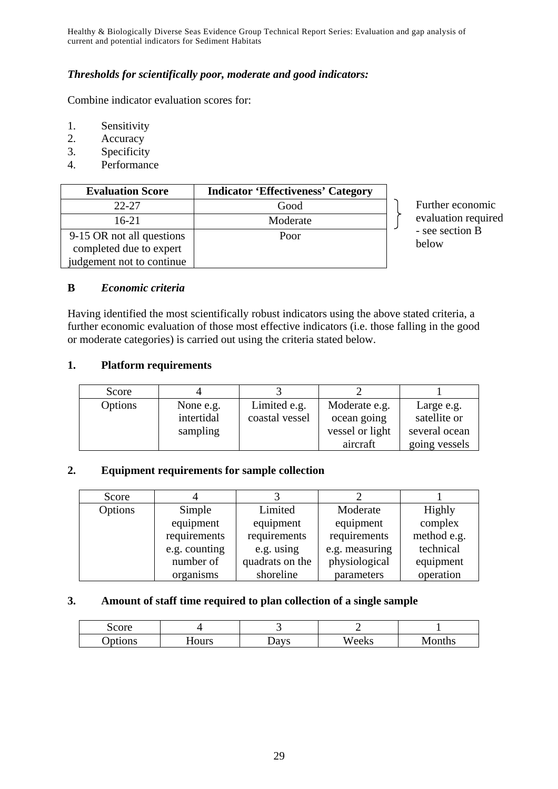#### *Thresholds for scientifically poor, moderate and good indicators:*

Combine indicator evaluation scores for:

- 1. Sensitivity
- 2. Accuracy
- 3. Specificity
- 4. Performance

| <b>Evaluation Score</b>   | <b>Indicator 'Effectiveness' Category</b> |
|---------------------------|-------------------------------------------|
| $22 - 27$                 | Good                                      |
| $16-21$                   | Moderate                                  |
| 9-15 OR not all questions | Poor                                      |
| completed due to expert   |                                           |
| judgement not to continue |                                           |

Further economic evaluation required - see section B below

#### **B** *Economic criteria*

Having identified the most scientifically robust indicators using the above stated criteria, a further economic evaluation of those most effective indicators (i.e. those falling in the good or moderate categories) is carried out using the criteria stated below.

#### **1. Platform requirements**

| Score   |            |                |                 |               |
|---------|------------|----------------|-----------------|---------------|
| Options | None e.g.  | Limited e.g.   | Moderate e.g.   | Large e.g.    |
|         | intertidal | coastal vessel | ocean going     | satellite or  |
|         | sampling   |                | vessel or light | several ocean |
|         |            |                | aircraft        | going vessels |

#### **2. Equipment requirements for sample collection**

| Score   |               |                 |                |             |
|---------|---------------|-----------------|----------------|-------------|
| Options | Simple        | Limited         | Moderate       | Highly      |
|         | equipment     | equipment       | equipment      | complex     |
|         | requirements  | requirements    | requirements   | method e.g. |
|         | e.g. counting | e.g. using      | e.g. measuring | technical   |
|         | number of     | quadrats on the | physiological  | equipment   |
|         | organisms     | shoreline       | parameters     | operation   |

#### **3. Amount of staff time required to plan collection of a single sample**

| Score  |       |      | -     |        |
|--------|-------|------|-------|--------|
| ptions | Hours | Davs | Weeks | Months |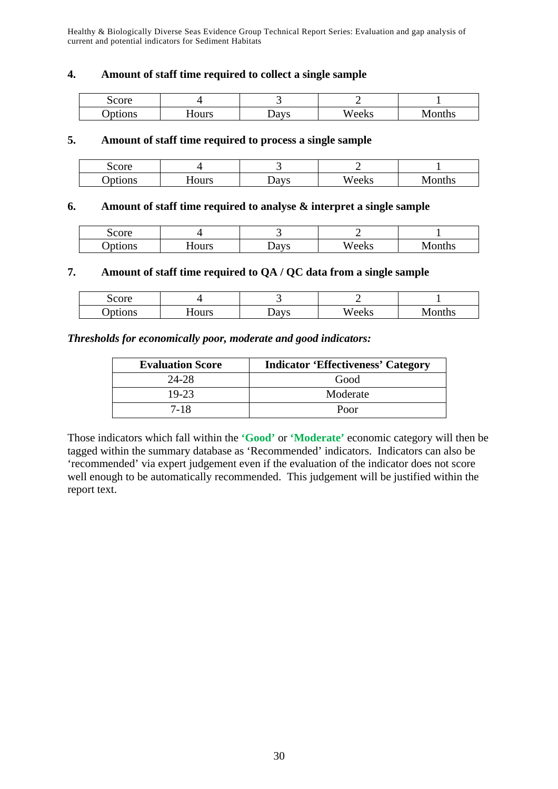#### **4. Amount of staff time required to collect a single sample**

| Score  |       |                                |       |            |
|--------|-------|--------------------------------|-------|------------|
| ptions | Hours | $\boldsymbol{\mathcal{Q}}$ avs | Weeks | onths<br>w |

#### **5. Amount of staff time required to process a single sample**

| score   |       |      |       |       |
|---------|-------|------|-------|-------|
| )ptions | Hours | Days | Weeks | onths |

#### **6. Amount of staff time required to analyse & interpret a single sample**

| Score   |       |                      |       |             |
|---------|-------|----------------------|-------|-------------|
| )ptions | Hours | la ve<br><b>Days</b> | Weeks | onths<br>עו |

#### **7. Amount of staff time required to QA / QC data from a single sample**

| Score  |       |      |       |       |
|--------|-------|------|-------|-------|
| ptions | Hours | Davs | Weeks | onths |

#### *Thresholds for economically poor, moderate and good indicators:*

| <b>Evaluation Score</b> | <b>Indicator 'Effectiveness' Category</b> |
|-------------------------|-------------------------------------------|
| $24 - 28$               | Good                                      |
| 19-23                   | Moderate                                  |
| 7-18                    | Poor                                      |

Those indicators which fall within the **'Good'** or **'Moderate'** economic category will then be tagged within the summary database as 'Recommended' indicators. Indicators can also be 'recommended' via expert judgement even if the evaluation of the indicator does not score well enough to be automatically recommended. This judgement will be justified within the report text.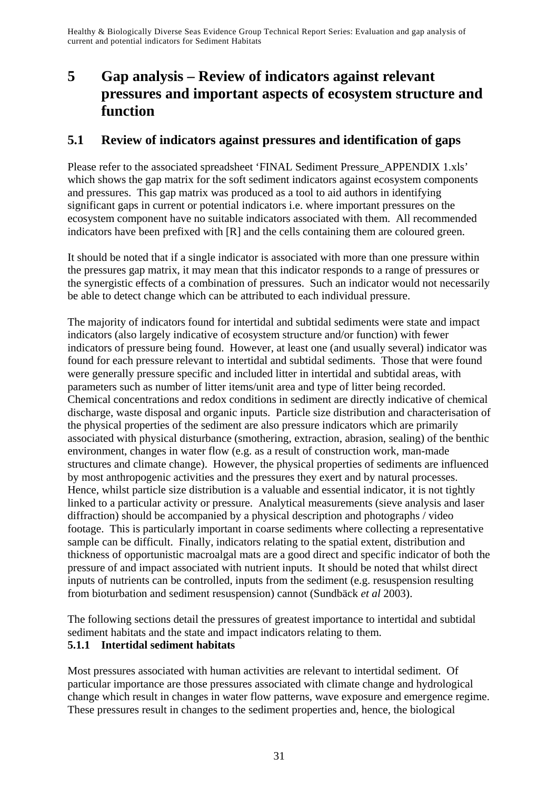# **5 Gap analysis – Review of indicators against relevant pressures and important aspects of ecosystem structure and function**

## **5.1 Review of indicators against pressures and identification of gaps**

Please refer to the associated spreadsheet 'FINAL Sediment Pressure\_APPENDIX 1.xls' which shows the gap matrix for the soft sediment indicators against ecosystem components and pressures. This gap matrix was produced as a tool to aid authors in identifying significant gaps in current or potential indicators i.e. where important pressures on the ecosystem component have no suitable indicators associated with them. All recommended indicators have been prefixed with [R] and the cells containing them are coloured green.

It should be noted that if a single indicator is associated with more than one pressure within the pressures gap matrix, it may mean that this indicator responds to a range of pressures or the synergistic effects of a combination of pressures. Such an indicator would not necessarily be able to detect change which can be attributed to each individual pressure.

The majority of indicators found for intertidal and subtidal sediments were state and impact indicators (also largely indicative of ecosystem structure and/or function) with fewer indicators of pressure being found. However, at least one (and usually several) indicator was found for each pressure relevant to intertidal and subtidal sediments. Those that were found were generally pressure specific and included litter in intertidal and subtidal areas, with parameters such as number of litter items/unit area and type of litter being recorded. Chemical concentrations and redox conditions in sediment are directly indicative of chemical discharge, waste disposal and organic inputs. Particle size distribution and characterisation of the physical properties of the sediment are also pressure indicators which are primarily associated with physical disturbance (smothering, extraction, abrasion, sealing) of the benthic environment, changes in water flow (e.g. as a result of construction work, man-made structures and climate change). However, the physical properties of sediments are influenced by most anthropogenic activities and the pressures they exert and by natural processes. Hence, whilst particle size distribution is a valuable and essential indicator, it is not tightly linked to a particular activity or pressure. Analytical measurements (sieve analysis and laser diffraction) should be accompanied by a physical description and photographs / video footage. This is particularly important in coarse sediments where collecting a representative sample can be difficult. Finally, indicators relating to the spatial extent, distribution and thickness of opportunistic macroalgal mats are a good direct and specific indicator of both the pressure of and impact associated with nutrient inputs. It should be noted that whilst direct inputs of nutrients can be controlled, inputs from the sediment (e.g. resuspension resulting from bioturbation and sediment resuspension) cannot (Sundbäck *et al* 2003).

The following sections detail the pressures of greatest importance to intertidal and subtidal sediment habitats and the state and impact indicators relating to them.

### **5.1.1 Intertidal sediment habitats**

Most pressures associated with human activities are relevant to intertidal sediment. Of particular importance are those pressures associated with climate change and hydrological change which result in changes in water flow patterns, wave exposure and emergence regime. These pressures result in changes to the sediment properties and, hence, the biological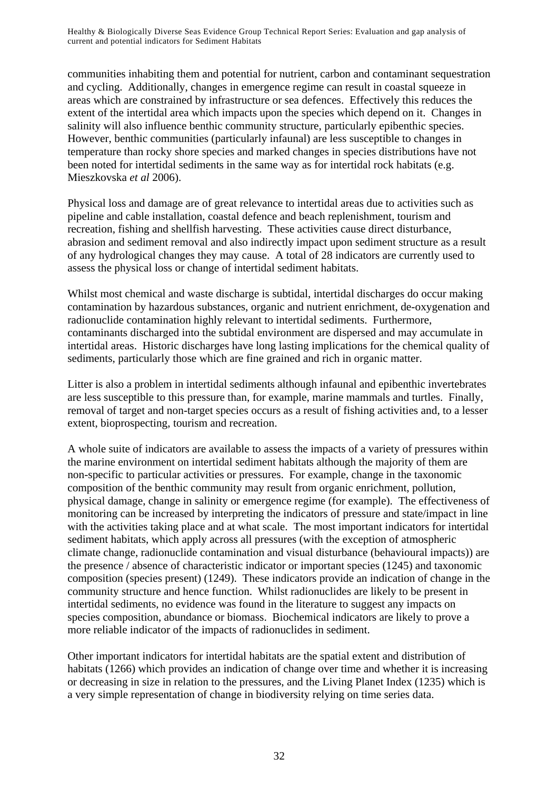communities inhabiting them and potential for nutrient, carbon and contaminant sequestration and cycling. Additionally, changes in emergence regime can result in coastal squeeze in areas which are constrained by infrastructure or sea defences. Effectively this reduces the extent of the intertidal area which impacts upon the species which depend on it. Changes in salinity will also influence benthic community structure, particularly epibenthic species. However, benthic communities (particularly infaunal) are less susceptible to changes in temperature than rocky shore species and marked changes in species distributions have not been noted for intertidal sediments in the same way as for intertidal rock habitats (e.g. Mieszkovska *et al* 2006).

Physical loss and damage are of great relevance to intertidal areas due to activities such as pipeline and cable installation, coastal defence and beach replenishment, tourism and recreation, fishing and shellfish harvesting. These activities cause direct disturbance, abrasion and sediment removal and also indirectly impact upon sediment structure as a result of any hydrological changes they may cause. A total of 28 indicators are currently used to assess the physical loss or change of intertidal sediment habitats.

Whilst most chemical and waste discharge is subtidal, intertidal discharges do occur making contamination by hazardous substances, organic and nutrient enrichment, de-oxygenation and radionuclide contamination highly relevant to intertidal sediments. Furthermore, contaminants discharged into the subtidal environment are dispersed and may accumulate in intertidal areas. Historic discharges have long lasting implications for the chemical quality of sediments, particularly those which are fine grained and rich in organic matter.

Litter is also a problem in intertidal sediments although infaunal and epibenthic invertebrates are less susceptible to this pressure than, for example, marine mammals and turtles. Finally, removal of target and non-target species occurs as a result of fishing activities and, to a lesser extent, bioprospecting, tourism and recreation.

A whole suite of indicators are available to assess the impacts of a variety of pressures within the marine environment on intertidal sediment habitats although the majority of them are non-specific to particular activities or pressures. For example, change in the taxonomic composition of the benthic community may result from organic enrichment, pollution, physical damage, change in salinity or emergence regime (for example). The effectiveness of monitoring can be increased by interpreting the indicators of pressure and state/impact in line with the activities taking place and at what scale. The most important indicators for intertidal sediment habitats, which apply across all pressures (with the exception of atmospheric climate change, radionuclide contamination and visual disturbance (behavioural impacts)) are the presence / absence of characteristic indicator or important species (1245) and taxonomic composition (species present) (1249). These indicators provide an indication of change in the community structure and hence function. Whilst radionuclides are likely to be present in intertidal sediments, no evidence was found in the literature to suggest any impacts on species composition, abundance or biomass. Biochemical indicators are likely to prove a more reliable indicator of the impacts of radionuclides in sediment.

Other important indicators for intertidal habitats are the spatial extent and distribution of habitats (1266) which provides an indication of change over time and whether it is increasing or decreasing in size in relation to the pressures, and the Living Planet Index (1235) which is a very simple representation of change in biodiversity relying on time series data.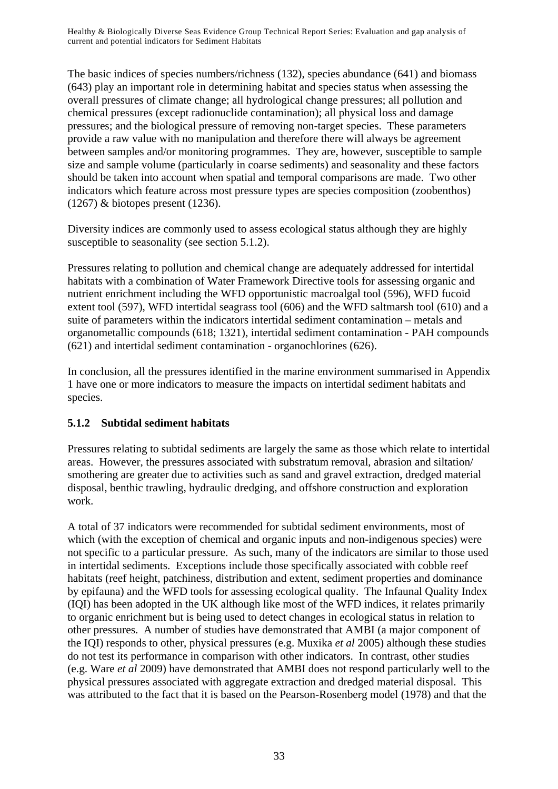The basic indices of species numbers/richness (132), species abundance (641) and biomass (643) play an important role in determining habitat and species status when assessing the overall pressures of climate change; all hydrological change pressures; all pollution and chemical pressures (except radionuclide contamination); all physical loss and damage pressures; and the biological pressure of removing non-target species. These parameters provide a raw value with no manipulation and therefore there will always be agreement between samples and/or monitoring programmes. They are, however, susceptible to sample size and sample volume (particularly in coarse sediments) and seasonality and these factors should be taken into account when spatial and temporal comparisons are made. Two other indicators which feature across most pressure types are species composition (zoobenthos) (1267) & biotopes present (1236).

Diversity indices are commonly used to assess ecological status although they are highly susceptible to seasonality (see section 5.1.2).

Pressures relating to pollution and chemical change are adequately addressed for intertidal habitats with a combination of Water Framework Directive tools for assessing organic and nutrient enrichment including the WFD opportunistic macroalgal tool (596), WFD fucoid extent tool (597), WFD intertidal seagrass tool (606) and the WFD saltmarsh tool (610) and a suite of parameters within the indicators intertidal sediment contamination – metals and organometallic compounds (618; 1321), intertidal sediment contamination - PAH compounds (621) and intertidal sediment contamination - organochlorines (626).

In conclusion, all the pressures identified in the marine environment summarised in Appendix 1 have one or more indicators to measure the impacts on intertidal sediment habitats and species.

## **5.1.2 Subtidal sediment habitats**

Pressures relating to subtidal sediments are largely the same as those which relate to intertidal areas. However, the pressures associated with substratum removal, abrasion and siltation/ smothering are greater due to activities such as sand and gravel extraction, dredged material disposal, benthic trawling, hydraulic dredging, and offshore construction and exploration work.

A total of 37 indicators were recommended for subtidal sediment environments, most of which (with the exception of chemical and organic inputs and non-indigenous species) were not specific to a particular pressure. As such, many of the indicators are similar to those used in intertidal sediments. Exceptions include those specifically associated with cobble reef habitats (reef height, patchiness, distribution and extent, sediment properties and dominance by epifauna) and the WFD tools for assessing ecological quality. The Infaunal Quality Index (IQI) has been adopted in the UK although like most of the WFD indices, it relates primarily to organic enrichment but is being used to detect changes in ecological status in relation to other pressures. A number of studies have demonstrated that AMBI (a major component of the IQI) responds to other, physical pressures (e.g. Muxika *et al* 2005) although these studies do not test its performance in comparison with other indicators. In contrast, other studies (e.g. Ware *et al* 2009) have demonstrated that AMBI does not respond particularly well to the physical pressures associated with aggregate extraction and dredged material disposal. This was attributed to the fact that it is based on the Pearson-Rosenberg model (1978) and that the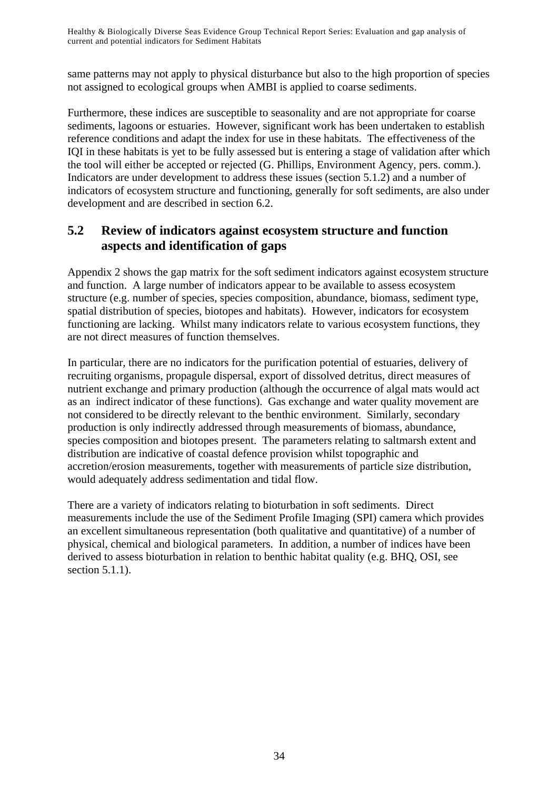same patterns may not apply to physical disturbance but also to the high proportion of species not assigned to ecological groups when AMBI is applied to coarse sediments.

Furthermore, these indices are susceptible to seasonality and are not appropriate for coarse sediments, lagoons or estuaries. However, significant work has been undertaken to establish reference conditions and adapt the index for use in these habitats. The effectiveness of the IQI in these habitats is yet to be fully assessed but is entering a stage of validation after which the tool will either be accepted or rejected (G. Phillips, Environment Agency, pers. comm.). Indicators are under development to address these issues (section 5.1.2) and a number of indicators of ecosystem structure and functioning, generally for soft sediments, are also under development and are described in section 6.2.

# **5.2 Review of indicators against ecosystem structure and function aspects and identification of gaps**

Appendix 2 shows the gap matrix for the soft sediment indicators against ecosystem structure and function. A large number of indicators appear to be available to assess ecosystem structure (e.g. number of species, species composition, abundance, biomass, sediment type, spatial distribution of species, biotopes and habitats). However, indicators for ecosystem functioning are lacking. Whilst many indicators relate to various ecosystem functions, they are not direct measures of function themselves.

In particular, there are no indicators for the purification potential of estuaries, delivery of recruiting organisms, propagule dispersal, export of dissolved detritus, direct measures of nutrient exchange and primary production (although the occurrence of algal mats would act as an indirect indicator of these functions). Gas exchange and water quality movement are not considered to be directly relevant to the benthic environment. Similarly, secondary production is only indirectly addressed through measurements of biomass, abundance, species composition and biotopes present. The parameters relating to saltmarsh extent and distribution are indicative of coastal defence provision whilst topographic and accretion/erosion measurements, together with measurements of particle size distribution, would adequately address sedimentation and tidal flow.

There are a variety of indicators relating to bioturbation in soft sediments. Direct measurements include the use of the Sediment Profile Imaging (SPI) camera which provides an excellent simultaneous representation (both qualitative and quantitative) of a number of physical, chemical and biological parameters. In addition, a number of indices have been derived to assess bioturbation in relation to benthic habitat quality (e.g. BHQ, OSI, see section 5.1.1).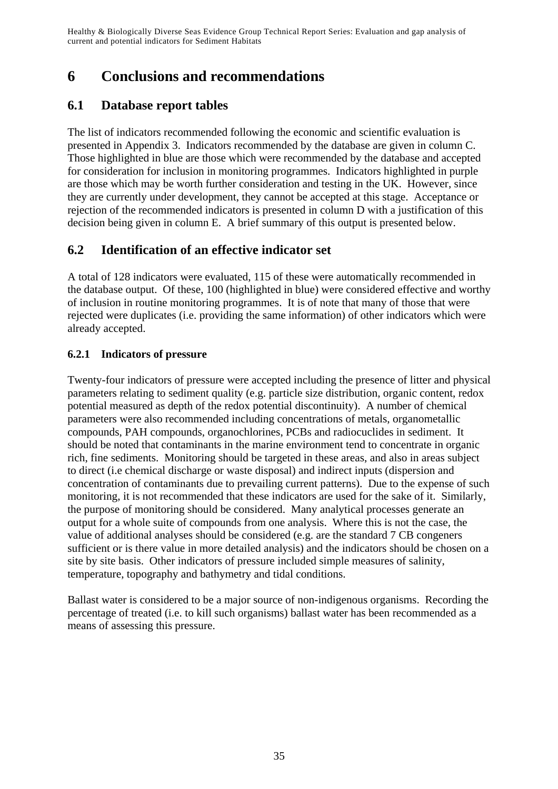# **6 Conclusions and recommendations**

# **6.1 Database report tables**

The list of indicators recommended following the economic and scientific evaluation is presented in Appendix 3. Indicators recommended by the database are given in column C. Those highlighted in blue are those which were recommended by the database and accepted for consideration for inclusion in monitoring programmes. Indicators highlighted in purple are those which may be worth further consideration and testing in the UK. However, since they are currently under development, they cannot be accepted at this stage. Acceptance or rejection of the recommended indicators is presented in column D with a justification of this decision being given in column E. A brief summary of this output is presented below.

# **6.2 Identification of an effective indicator set**

A total of 128 indicators were evaluated, 115 of these were automatically recommended in the database output. Of these, 100 (highlighted in blue) were considered effective and worthy of inclusion in routine monitoring programmes. It is of note that many of those that were rejected were duplicates (i.e. providing the same information) of other indicators which were already accepted.

## **6.2.1 Indicators of pressure**

Twenty-four indicators of pressure were accepted including the presence of litter and physical parameters relating to sediment quality (e.g. particle size distribution, organic content, redox potential measured as depth of the redox potential discontinuity). A number of chemical parameters were also recommended including concentrations of metals, organometallic compounds, PAH compounds, organochlorines, PCBs and radiocuclides in sediment. It should be noted that contaminants in the marine environment tend to concentrate in organic rich, fine sediments. Monitoring should be targeted in these areas, and also in areas subject to direct (i.e chemical discharge or waste disposal) and indirect inputs (dispersion and concentration of contaminants due to prevailing current patterns). Due to the expense of such monitoring, it is not recommended that these indicators are used for the sake of it. Similarly, the purpose of monitoring should be considered. Many analytical processes generate an output for a whole suite of compounds from one analysis. Where this is not the case, the value of additional analyses should be considered (e.g. are the standard 7 CB congeners sufficient or is there value in more detailed analysis) and the indicators should be chosen on a site by site basis. Other indicators of pressure included simple measures of salinity, temperature, topography and bathymetry and tidal conditions.

Ballast water is considered to be a major source of non-indigenous organisms. Recording the percentage of treated (i.e. to kill such organisms) ballast water has been recommended as a means of assessing this pressure.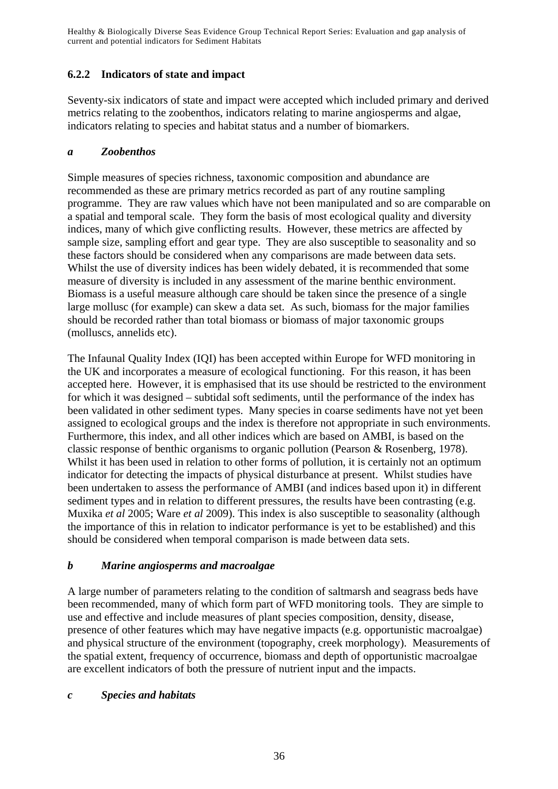### **6.2.2 Indicators of state and impact**

Seventy-six indicators of state and impact were accepted which included primary and derived metrics relating to the zoobenthos, indicators relating to marine angiosperms and algae, indicators relating to species and habitat status and a number of biomarkers.

#### *a Zoobenthos*

Simple measures of species richness, taxonomic composition and abundance are recommended as these are primary metrics recorded as part of any routine sampling programme. They are raw values which have not been manipulated and so are comparable on a spatial and temporal scale. They form the basis of most ecological quality and diversity indices, many of which give conflicting results. However, these metrics are affected by sample size, sampling effort and gear type. They are also susceptible to seasonality and so these factors should be considered when any comparisons are made between data sets. Whilst the use of diversity indices has been widely debated, it is recommended that some measure of diversity is included in any assessment of the marine benthic environment. Biomass is a useful measure although care should be taken since the presence of a single large mollusc (for example) can skew a data set. As such, biomass for the major families should be recorded rather than total biomass or biomass of major taxonomic groups (molluscs, annelids etc).

The Infaunal Quality Index (IQI) has been accepted within Europe for WFD monitoring in the UK and incorporates a measure of ecological functioning. For this reason, it has been accepted here. However, it is emphasised that its use should be restricted to the environment for which it was designed – subtidal soft sediments, until the performance of the index has been validated in other sediment types. Many species in coarse sediments have not yet been assigned to ecological groups and the index is therefore not appropriate in such environments. Furthermore, this index, and all other indices which are based on AMBI, is based on the classic response of benthic organisms to organic pollution (Pearson & Rosenberg, 1978). Whilst it has been used in relation to other forms of pollution, it is certainly not an optimum indicator for detecting the impacts of physical disturbance at present. Whilst studies have been undertaken to assess the performance of AMBI (and indices based upon it) in different sediment types and in relation to different pressures, the results have been contrasting (e.g. Muxika *et al* 2005; Ware *et al* 2009). This index is also susceptible to seasonality (although the importance of this in relation to indicator performance is yet to be established) and this should be considered when temporal comparison is made between data sets.

#### *b Marine angiosperms and macroalgae*

A large number of parameters relating to the condition of saltmarsh and seagrass beds have been recommended, many of which form part of WFD monitoring tools. They are simple to use and effective and include measures of plant species composition, density, disease, presence of other features which may have negative impacts (e.g. opportunistic macroalgae) and physical structure of the environment (topography, creek morphology). Measurements of the spatial extent, frequency of occurrence, biomass and depth of opportunistic macroalgae are excellent indicators of both the pressure of nutrient input and the impacts.

#### *c Species and habitats*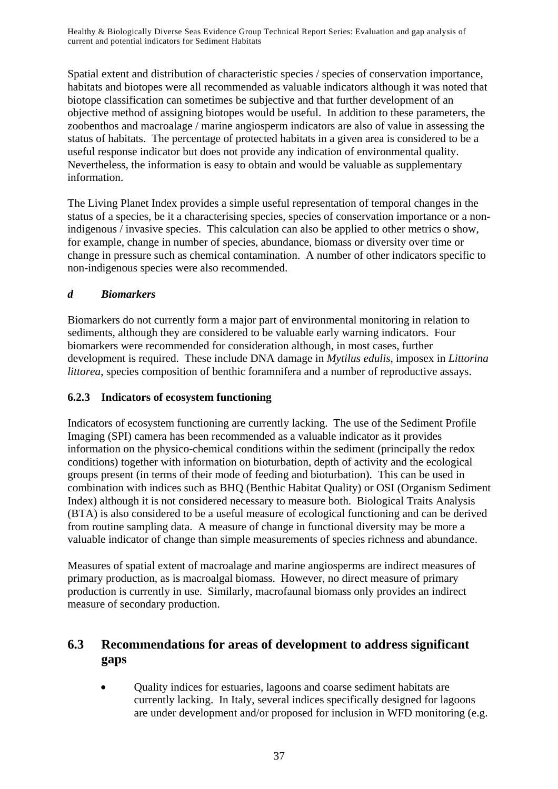Spatial extent and distribution of characteristic species / species of conservation importance, habitats and biotopes were all recommended as valuable indicators although it was noted that biotope classification can sometimes be subjective and that further development of an objective method of assigning biotopes would be useful. In addition to these parameters, the zoobenthos and macroalage / marine angiosperm indicators are also of value in assessing the status of habitats. The percentage of protected habitats in a given area is considered to be a useful response indicator but does not provide any indication of environmental quality. Nevertheless, the information is easy to obtain and would be valuable as supplementary information.

The Living Planet Index provides a simple useful representation of temporal changes in the status of a species, be it a characterising species, species of conservation importance or a nonindigenous / invasive species. This calculation can also be applied to other metrics o show, for example, change in number of species, abundance, biomass or diversity over time or change in pressure such as chemical contamination. A number of other indicators specific to non-indigenous species were also recommended.

### *d Biomarkers*

Biomarkers do not currently form a major part of environmental monitoring in relation to sediments, although they are considered to be valuable early warning indicators. Four biomarkers were recommended for consideration although, in most cases, further development is required. These include DNA damage in *Mytilus edulis*, imposex in *Littorina littorea*, species composition of benthic foramnifera and a number of reproductive assays.

#### **6.2.3 Indicators of ecosystem functioning**

Indicators of ecosystem functioning are currently lacking. The use of the Sediment Profile Imaging (SPI) camera has been recommended as a valuable indicator as it provides information on the physico-chemical conditions within the sediment (principally the redox conditions) together with information on bioturbation, depth of activity and the ecological groups present (in terms of their mode of feeding and bioturbation). This can be used in combination with indices such as BHQ (Benthic Habitat Quality) or OSI (Organism Sediment Index) although it is not considered necessary to measure both. Biological Traits Analysis (BTA) is also considered to be a useful measure of ecological functioning and can be derived from routine sampling data. A measure of change in functional diversity may be more a valuable indicator of change than simple measurements of species richness and abundance.

Measures of spatial extent of macroalage and marine angiosperms are indirect measures of primary production, as is macroalgal biomass. However, no direct measure of primary production is currently in use. Similarly, macrofaunal biomass only provides an indirect measure of secondary production.

# **6.3 Recommendations for areas of development to address significant gaps**

• Quality indices for estuaries, lagoons and coarse sediment habitats are currently lacking. In Italy, several indices specifically designed for lagoons are under development and/or proposed for inclusion in WFD monitoring (e.g.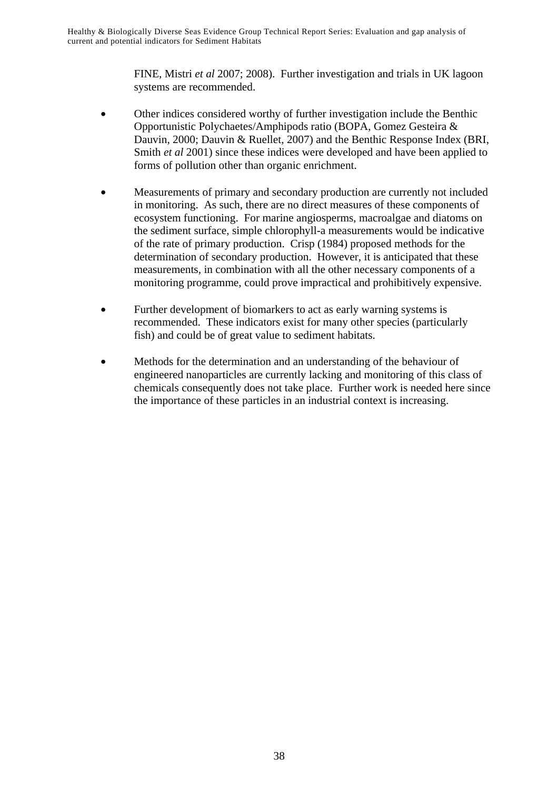FINE, Mistri *et al* 2007; 2008). Further investigation and trials in UK lagoon systems are recommended.

- Other indices considered worthy of further investigation include the Benthic Opportunistic Polychaetes/Amphipods ratio (BOPA, Gomez Gesteira & Dauvin, 2000; Dauvin & Ruellet, 2007) and the Benthic Response Index (BRI, Smith *et al* 2001) since these indices were developed and have been applied to forms of pollution other than organic enrichment.
- Measurements of primary and secondary production are currently not included in monitoring. As such, there are no direct measures of these components of ecosystem functioning. For marine angiosperms, macroalgae and diatoms on the sediment surface, simple chlorophyll-a measurements would be indicative of the rate of primary production. Crisp (1984) proposed methods for the determination of secondary production. However, it is anticipated that these measurements, in combination with all the other necessary components of a monitoring programme, could prove impractical and prohibitively expensive.
- Further development of biomarkers to act as early warning systems is recommended. These indicators exist for many other species (particularly fish) and could be of great value to sediment habitats.
- Methods for the determination and an understanding of the behaviour of engineered nanoparticles are currently lacking and monitoring of this class of chemicals consequently does not take place. Further work is needed here since the importance of these particles in an industrial context is increasing.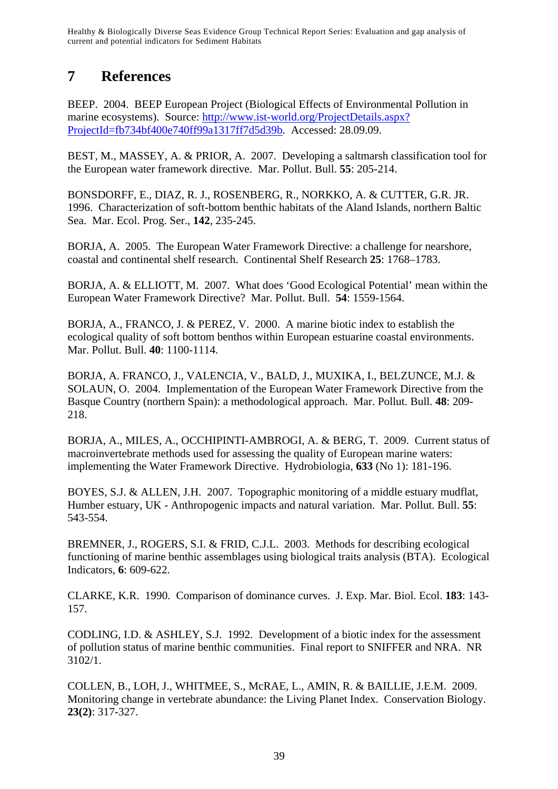# **7 References**

BEEP. 2004. BEEP European Project (Biological Effects of Environmental Pollution in marine ecosystems). Source: http://www.ist-world.org/ProjectDetails.aspx? ProjectId=fb734bf400e740ff99a1317ff7d5d39b. Accessed: 28.09.09.

BEST, M., MASSEY, A. & PRIOR, A. 2007. Developing a saltmarsh classification tool for the European water framework directive. Mar. Pollut. Bull. **55**: 205-214.

BONSDORFF, E., DIAZ, R. J., ROSENBERG, R., NORKKO, A. & CUTTER, G.R. JR. 1996. Characterization of soft-bottom benthic habitats of the Aland Islands, northern Baltic Sea. Mar. Ecol. Prog. Ser., **142**, 235-245.

BORJA, A. 2005. The European Water Framework Directive: a challenge for nearshore, coastal and continental shelf research. Continental Shelf Research **25**: 1768–1783.

BORJA, A. & ELLIOTT, M. 2007. What does 'Good Ecological Potential' mean within the European Water Framework Directive? Mar. Pollut. Bull. **54**: 1559-1564.

BORJA, A., FRANCO, J. & PEREZ, V. 2000. A marine biotic index to establish the ecological quality of soft bottom benthos within European estuarine coastal environments. Mar. Pollut. Bull. **40**: 1100-1114.

BORJA, A. FRANCO, J., VALENCIA, V., BALD, J., MUXIKA, I., BELZUNCE, M.J. & SOLAUN, O. 2004. Implementation of the European Water Framework Directive from the Basque Country (northern Spain): a methodological approach. Mar. Pollut. Bull. **48**: 209- 218.

BORJA, A., MILES, A., OCCHIPINTI-AMBROGI, A. & BERG, T. 2009. Current status of macroinvertebrate methods used for assessing the quality of European marine waters: implementing the Water Framework Directive. Hydrobiologia, **633** (No 1): 181-196.

BOYES, S.J. & ALLEN, J.H. 2007. Topographic monitoring of a middle estuary mudflat, Humber estuary, UK - Anthropogenic impacts and natural variation. Mar. Pollut. Bull. **55**: 543-554.

BREMNER, J., ROGERS, S.I. & FRID, C.J.L. 2003. Methods for describing ecological functioning of marine benthic assemblages using biological traits analysis (BTA). Ecological Indicators, **6**: 609-622.

CLARKE, K.R. 1990. Comparison of dominance curves. J. Exp. Mar. Biol. Ecol. **183**: 143- 157.

CODLING, I.D. & ASHLEY, S.J. 1992. Development of a biotic index for the assessment of pollution status of marine benthic communities. Final report to SNIFFER and NRA. NR 3102/1.

COLLEN, B., LOH, J., WHITMEE, S., McRAE, L., AMIN, R. & BAILLIE, J.E.M. 2009. Monitoring change in vertebrate abundance: the Living Planet Index. Conservation Biology. **23(2)**: 317-327.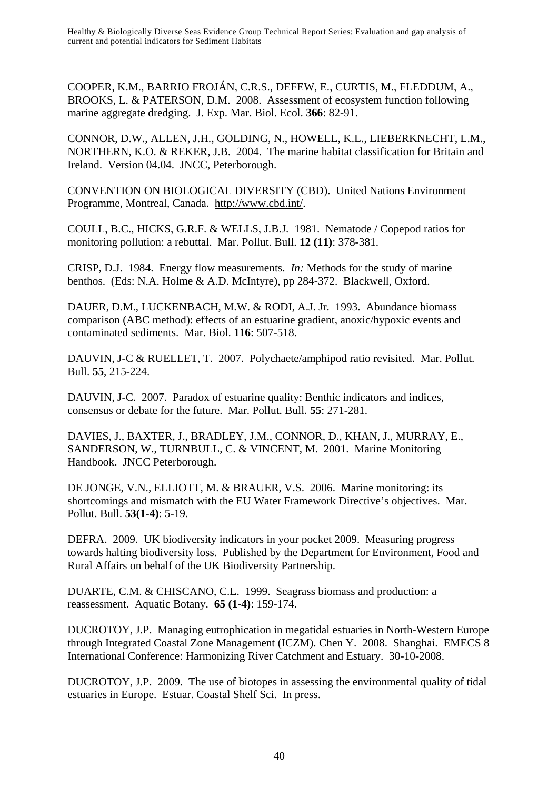COOPER, K.M., BARRIO FROJÁN, C.R.S., DEFEW, E., CURTIS, M., FLEDDUM, A., BROOKS, L. & PATERSON, D.M. 2008. Assessment of ecosystem function following marine aggregate dredging. J. Exp. Mar. Biol. Ecol. **366**: 82-91.

CONNOR, D.W., ALLEN, J.H., GOLDING, N., HOWELL, K.L., LIEBERKNECHT, L.M., NORTHERN, K.O. & REKER, J.B. 2004. The marine habitat classification for Britain and Ireland. Version 04.04. JNCC, Peterborough.

CONVENTION ON BIOLOGICAL DIVERSITY (CBD). United Nations Environment Programme, Montreal, Canada. http://www.cbd.int/.

COULL, B.C., HICKS, G.R.F. & WELLS, J.B.J. 1981. Nematode / Copepod ratios for monitoring pollution: a rebuttal. Mar. Pollut. Bull. **12 (11)**: 378-381.

CRISP, D.J. 1984. Energy flow measurements. *In:* Methods for the study of marine benthos. (Eds: N.A. Holme & A.D. McIntyre), pp 284-372. Blackwell, Oxford.

DAUER, D.M., LUCKENBACH, M.W. & RODI, A.J. Jr. 1993. Abundance biomass comparison (ABC method): effects of an estuarine gradient, anoxic/hypoxic events and contaminated sediments. Mar. Biol. **116**: 507-518.

DAUVIN, J-C & RUELLET, T. 2007. Polychaete/amphipod ratio revisited. Mar. Pollut. Bull. **55**, 215-224.

DAUVIN, J-C. 2007. Paradox of estuarine quality: Benthic indicators and indices, consensus or debate for the future. Mar. Pollut. Bull. **55**: 271-281.

DAVIES, J., BAXTER, J., BRADLEY, J.M., CONNOR, D., KHAN, J., MURRAY, E., SANDERSON, W., TURNBULL, C. & VINCENT, M. 2001. Marine Monitoring Handbook. JNCC Peterborough.

DE JONGE, V.N., ELLIOTT, M. & BRAUER, V.S. 2006. Marine monitoring: its shortcomings and mismatch with the EU Water Framework Directive's objectives. Mar. Pollut. Bull. **53(1-4)**: 5-19.

DEFRA. 2009. UK biodiversity indicators in your pocket 2009. Measuring progress towards halting biodiversity loss. Published by the Department for Environment, Food and Rural Affairs on behalf of the UK Biodiversity Partnership.

DUARTE, C.M. & CHISCANO, C.L. 1999. Seagrass biomass and production: a reassessment. Aquatic Botany. **65 (1-4)**: 159-174.

DUCROTOY, J.P. Managing eutrophication in megatidal estuaries in North-Western Europe through Integrated Coastal Zone Management (ICZM). Chen Y. 2008. Shanghai. EMECS 8 International Conference: Harmonizing River Catchment and Estuary. 30-10-2008.

DUCROTOY, J.P. 2009. The use of biotopes in assessing the environmental quality of tidal estuaries in Europe. Estuar. Coastal Shelf Sci. In press.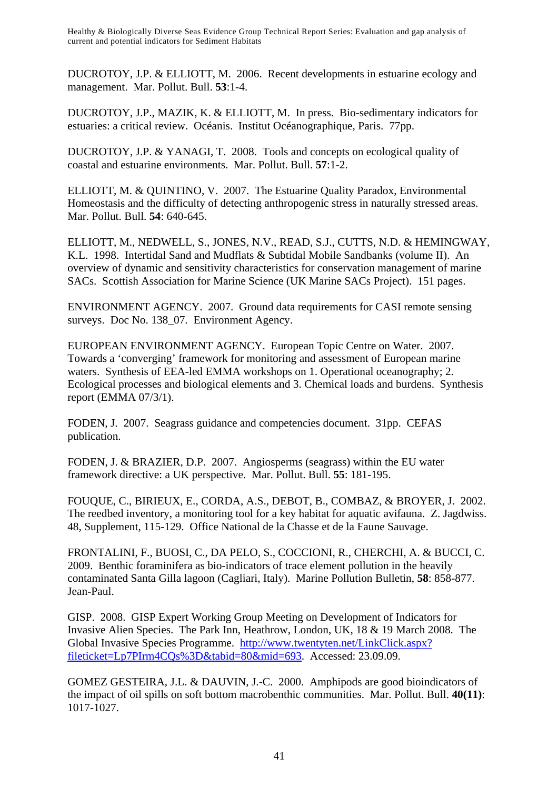DUCROTOY, J.P. & ELLIOTT, M. 2006. Recent developments in estuarine ecology and management. Mar. Pollut. Bull. **53**:1-4.

DUCROTOY, J.P., MAZIK, K. & ELLIOTT, M. In press. Bio-sedimentary indicators for estuaries: a critical review. Océanis. Institut Océanographique, Paris. 77pp.

DUCROTOY, J.P. & YANAGI, T. 2008. Tools and concepts on ecological quality of coastal and estuarine environments. Mar. Pollut. Bull. **57**:1-2.

ELLIOTT, M. & QUINTINO, V. 2007. The Estuarine Quality Paradox, Environmental Homeostasis and the difficulty of detecting anthropogenic stress in naturally stressed areas. Mar. Pollut. Bull. **54**: 640-645.

ELLIOTT, M., NEDWELL, S., JONES, N.V., READ, S.J., CUTTS, N.D. & HEMINGWAY, K.L. 1998. Intertidal Sand and Mudflats & Subtidal Mobile Sandbanks (volume II). An overview of dynamic and sensitivity characteristics for conservation management of marine SACs. Scottish Association for Marine Science (UK Marine SACs Project). 151 pages.

ENVIRONMENT AGENCY. 2007. Ground data requirements for CASI remote sensing surveys. Doc No. 138 07. Environment Agency.

EUROPEAN ENVIRONMENT AGENCY. European Topic Centre on Water. 2007. Towards a 'converging' framework for monitoring and assessment of European marine waters. Synthesis of EEA-led EMMA workshops on 1. Operational oceanography; 2. Ecological processes and biological elements and 3. Chemical loads and burdens. Synthesis report (EMMA 07/3/1).

FODEN, J. 2007. Seagrass guidance and competencies document. 31pp. CEFAS publication.

FODEN, J. & BRAZIER, D.P. 2007. Angiosperms (seagrass) within the EU water framework directive: a UK perspective. Mar. Pollut. Bull. **55**: 181-195.

FOUQUE, C., BIRIEUX, E., CORDA, A.S., DEBOT, B., COMBAZ, & BROYER, J. 2002. The reedbed inventory, a monitoring tool for a key habitat for aquatic avifauna. Z. Jagdwiss. 48, Supplement, 115-129. Office National de la Chasse et de la Faune Sauvage.

FRONTALINI, F., BUOSI, C., DA PELO, S., COCCIONI, R., CHERCHI, A. & BUCCI, C. 2009. Benthic foraminifera as bio-indicators of trace element pollution in the heavily contaminated Santa Gilla lagoon (Cagliari, Italy). Marine Pollution Bulletin, **58**: 858-877. Jean-Paul.

GISP. 2008. GISP Expert Working Group Meeting on Development of Indicators for Invasive Alien Species. The Park Inn, Heathrow, London, UK, 18 & 19 March 2008. The Global Invasive Species Programme. http://www.twentyten.net/LinkClick.aspx? fileticket=Lp7PIrm4CQs%3D&tabid=80&mid=693. Accessed: 23.09.09.

GOMEZ GESTEIRA, J.L. & DAUVIN, J.-C. 2000. Amphipods are good bioindicators of the impact of oil spills on soft bottom macrobenthic communities. Mar. Pollut. Bull. **40(11)**: 1017-1027.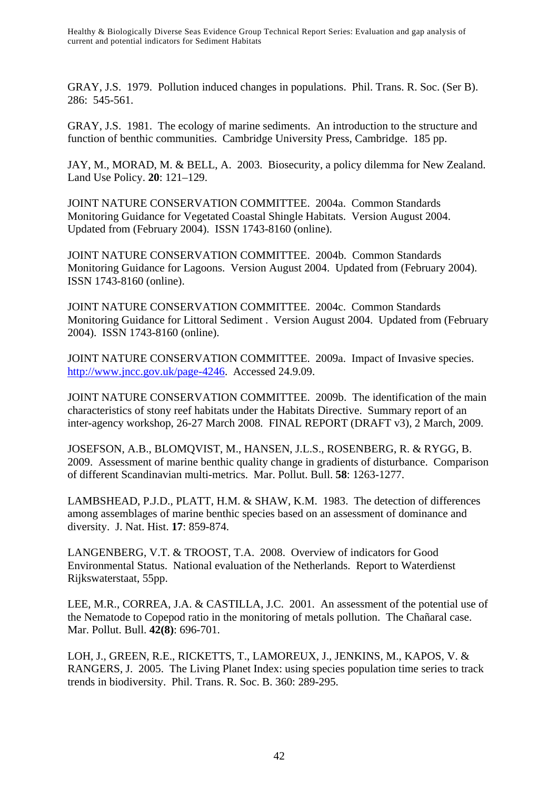GRAY, J.S. 1979. Pollution induced changes in populations. Phil. Trans. R. Soc. (Ser B). 286: 545-561.

GRAY, J.S. 1981. The ecology of marine sediments. An introduction to the structure and function of benthic communities. Cambridge University Press, Cambridge. 185 pp.

JAY, M., MORAD, M. & BELL, A. 2003. Biosecurity, a policy dilemma for New Zealand. Land Use Policy. **20**: 121–129.

JOINT NATURE CONSERVATION COMMITTEE. 2004a. Common Standards Monitoring Guidance for Vegetated Coastal Shingle Habitats. Version August 2004. Updated from (February 2004). ISSN 1743-8160 (online).

JOINT NATURE CONSERVATION COMMITTEE. 2004b. Common Standards Monitoring Guidance for Lagoons. Version August 2004. Updated from (February 2004). ISSN 1743-8160 (online).

JOINT NATURE CONSERVATION COMMITTEE. 2004c. Common Standards Monitoring Guidance for Littoral Sediment . Version August 2004. Updated from (February 2004). ISSN 1743-8160 (online).

JOINT NATURE CONSERVATION COMMITTEE. 2009a. Impact of Invasive species. http://www.jncc.gov.uk/page-4246. Accessed 24.9.09.

JOINT NATURE CONSERVATION COMMITTEE. 2009b. The identification of the main characteristics of stony reef habitats under the Habitats Directive. Summary report of an inter-agency workshop, 26-27 March 2008. FINAL REPORT (DRAFT v3), 2 March, 2009.

JOSEFSON, A.B., BLOMQVIST, M., HANSEN, J.L.S., ROSENBERG, R. & RYGG, B. 2009. Assessment of marine benthic quality change in gradients of disturbance. Comparison of different Scandinavian multi-metrics. Mar. Pollut. Bull. **58**: 1263-1277.

LAMBSHEAD, P.J.D., PLATT, H.M. & SHAW, K.M. 1983. The detection of differences among assemblages of marine benthic species based on an assessment of dominance and diversity. J. Nat. Hist. **17**: 859-874.

LANGENBERG, V.T. & TROOST, T.A. 2008. Overview of indicators for Good Environmental Status. National evaluation of the Netherlands. Report to Waterdienst Rijkswaterstaat, 55pp.

LEE, M.R., CORREA, J.A. & CASTILLA, J.C. 2001. An assessment of the potential use of the Nematode to Copepod ratio in the monitoring of metals pollution. The Chañaral case. Mar. Pollut. Bull. **42(8)**: 696-701.

LOH, J., GREEN, R.E., RICKETTS, T., LAMOREUX, J., JENKINS, M., KAPOS, V. & RANGERS, J. 2005. The Living Planet Index: using species population time series to track trends in biodiversity. Phil. Trans. R. Soc. B. 360: 289-295.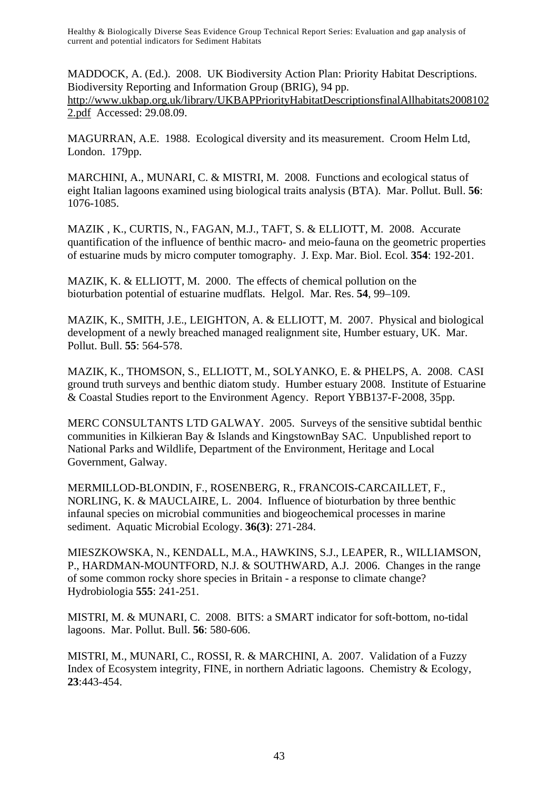MADDOCK, A. (Ed.). 2008. UK Biodiversity Action Plan: Priority Habitat Descriptions. Biodiversity Reporting and Information Group (BRIG), 94 pp. http://www.ukbap.org.uk/library/UKBAPPriorityHabitatDescriptionsfinalAllhabitats2008102 2.pdf Accessed: 29.08.09.

MAGURRAN, A.E. 1988. Ecological diversity and its measurement. Croom Helm Ltd, London. 179pp.

MARCHINI, A., MUNARI, C. & MISTRI, M. 2008. Functions and ecological status of eight Italian lagoons examined using biological traits analysis (BTA). Mar. Pollut. Bull. **56**: 1076-1085.

MAZIK , K., CURTIS, N., FAGAN, M.J., TAFT, S. & ELLIOTT, M. 2008. Accurate quantification of the influence of benthic macro- and meio-fauna on the geometric properties of estuarine muds by micro computer tomography. J. Exp. Mar. Biol. Ecol. **354**: 192-201.

MAZIK, K. & ELLIOTT, M. 2000. The effects of chemical pollution on the bioturbation potential of estuarine mudflats. Helgol. Mar. Res. **54**, 99–109.

MAZIK, K., SMITH, J.E., LEIGHTON, A. & ELLIOTT, M. 2007. Physical and biological development of a newly breached managed realignment site, Humber estuary, UK. Mar. Pollut. Bull. **55**: 564-578.

MAZIK, K., THOMSON, S., ELLIOTT, M., SOLYANKO, E. & PHELPS, A. 2008. CASI ground truth surveys and benthic diatom study. Humber estuary 2008. Institute of Estuarine & Coastal Studies report to the Environment Agency. Report YBB137-F-2008, 35pp.

MERC CONSULTANTS LTD GALWAY. 2005. Surveys of the sensitive subtidal benthic communities in Kilkieran Bay & Islands and KingstownBay SAC. Unpublished report to National Parks and Wildlife, Department of the Environment, Heritage and Local Government, Galway.

MERMILLOD-BLONDIN, F., ROSENBERG, R., FRANCOIS-CARCAILLET, F., NORLING, K. & MAUCLAIRE, L. 2004. Influence of bioturbation by three benthic infaunal species on microbial communities and biogeochemical processes in marine sediment. Aquatic Microbial Ecology. **36(3)**: 271-284.

MIESZKOWSKA, N., KENDALL, M.A., HAWKINS, S.J., LEAPER, R., WILLIAMSON, P., HARDMAN-MOUNTFORD, N.J. & SOUTHWARD, A.J. 2006. Changes in the range of some common rocky shore species in Britain - a response to climate change? Hydrobiologia **555**: 241-251.

MISTRI, M. & MUNARI, C. 2008. BITS: a SMART indicator for soft-bottom, no-tidal lagoons. Mar. Pollut. Bull. **56**: 580-606.

MISTRI, M., MUNARI, C., ROSSI, R. & MARCHINI, A. 2007. Validation of a Fuzzy Index of Ecosystem integrity, FINE, in northern Adriatic lagoons. Chemistry & Ecology, **23**:443-454.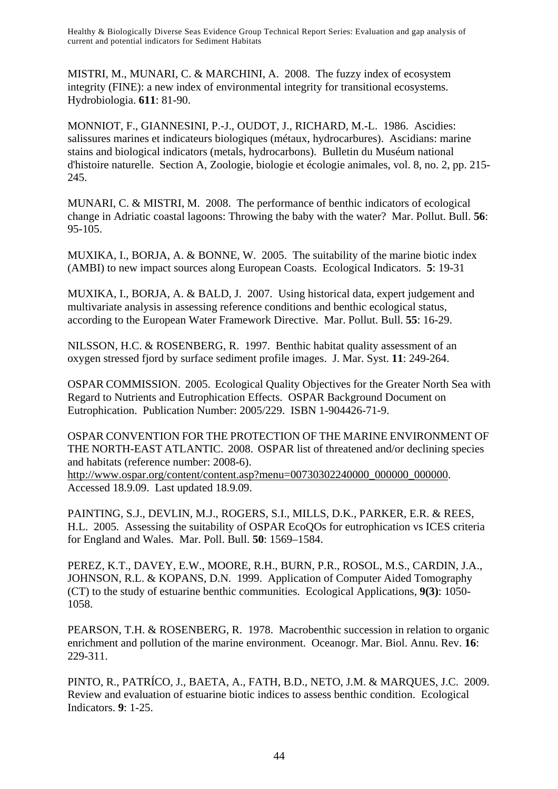MISTRI, M., MUNARI, C. & MARCHINI, A. 2008. The fuzzy index of ecosystem integrity (FINE): a new index of environmental integrity for transitional ecosystems. Hydrobiologia. **611**: 81-90.

MONNIOT, F., GIANNESINI, P.-J., OUDOT, J., RICHARD, M.-L. 1986. Ascidies: salissures marines et indicateurs biologiques (métaux, hydrocarbures). Ascidians: marine stains and biological indicators (metals, hydrocarbons). Bulletin du Muséum national d'histoire naturelle. Section A, Zoologie, biologie et écologie animales, vol. 8, no. 2, pp. 215- 245.

MUNARI, C. & MISTRI, M. 2008. The performance of benthic indicators of ecological change in Adriatic coastal lagoons: Throwing the baby with the water? Mar. Pollut. Bull. **56**: 95-105.

MUXIKA, I., BORJA, A. & BONNE, W. 2005. The suitability of the marine biotic index (AMBI) to new impact sources along European Coasts. Ecological Indicators. **5**: 19-31

MUXIKA, I., BORJA, A. & BALD, J. 2007. Using historical data, expert judgement and multivariate analysis in assessing reference conditions and benthic ecological status, according to the European Water Framework Directive. Mar. Pollut. Bull. **55**: 16-29.

NILSSON, H.C. & ROSENBERG, R. 1997. Benthic habitat quality assessment of an oxygen stressed fjord by surface sediment profile images. J. Mar. Syst. **11**: 249-264.

OSPAR COMMISSION. 2005. Ecological Quality Objectives for the Greater North Sea with Regard to Nutrients and Eutrophication Effects. OSPAR Background Document on Eutrophication. Publication Number: 2005/229. ISBN 1-904426-71-9.

OSPAR CONVENTION FOR THE PROTECTION OF THE MARINE ENVIRONMENT OF THE NORTH-EAST ATLANTIC. 2008. OSPAR list of threatened and/or declining species and habitats (reference number: 2008-6).

http://www.ospar.org/content/content.asp?menu=00730302240000\_000000\_000000. Accessed 18.9.09. Last updated 18.9.09.

PAINTING, S.J., DEVLIN, M.J., ROGERS, S.I., MILLS, D.K., PARKER, E.R. & REES, H.L. 2005. Assessing the suitability of OSPAR EcoQOs for eutrophication vs ICES criteria for England and Wales. Mar. Poll. Bull. **50**: 1569–1584.

PEREZ, K.T., DAVEY, E.W., MOORE, R.H., BURN, P.R., ROSOL, M.S., CARDIN, J.A., JOHNSON, R.L. & KOPANS, D.N. 1999. Application of Computer Aided Tomography (CT) to the study of estuarine benthic communities. Ecological Applications, **9(3)**: 1050- 1058.

PEARSON, T.H. & ROSENBERG, R. 1978. Macrobenthic succession in relation to organic enrichment and pollution of the marine environment. Oceanogr. Mar. Biol. Annu. Rev. **16**: 229-311.

PINTO, R., PATRÍCO, J., BAETA, A., FATH, B.D., NETO, J.M. & MARQUES, J.C. 2009. Review and evaluation of estuarine biotic indices to assess benthic condition. Ecological Indicators. **9**: 1-25.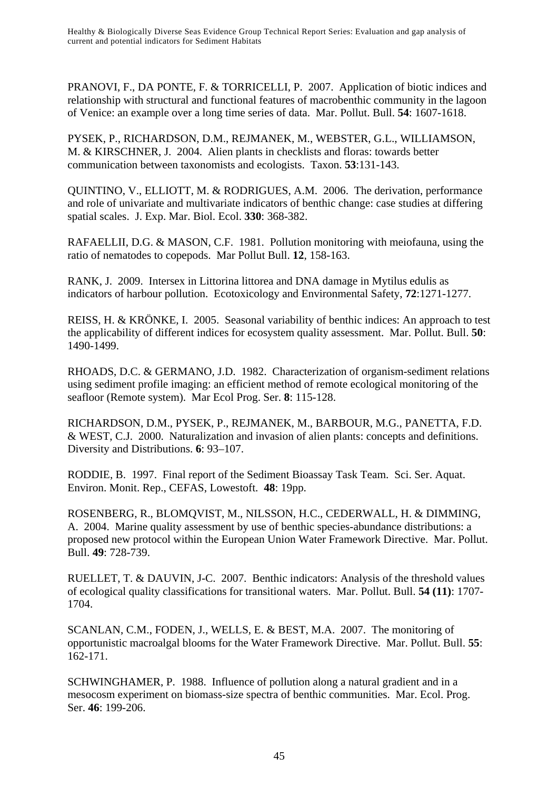PRANOVI, F., DA PONTE, F. & TORRICELLI, P. 2007. Application of biotic indices and relationship with structural and functional features of macrobenthic community in the lagoon of Venice: an example over a long time series of data. Mar. Pollut. Bull. **54**: 1607-1618.

PYSEK, P., RICHARDSON, D.M., REJMANEK, M., WEBSTER, G.L., WILLIAMSON, M. & KIRSCHNER, J. 2004. Alien plants in checklists and floras: towards better communication between taxonomists and ecologists. Taxon. **53**:131-143.

QUINTINO, V., ELLIOTT, M. & RODRIGUES, A.M. 2006. The derivation, performance and role of univariate and multivariate indicators of benthic change: case studies at differing spatial scales. J. Exp. Mar. Biol. Ecol. **330**: 368-382.

RAFAELLII, D.G. & MASON, C.F. 1981. Pollution monitoring with meiofauna, using the ratio of nematodes to copepods. Mar Pollut Bull. **12**, 158-163.

RANK, J. 2009. Intersex in Littorina littorea and DNA damage in Mytilus edulis as indicators of harbour pollution. Ecotoxicology and Environmental Safety, **72**:1271-1277.

REISS, H. & KRÖNKE, I. 2005. Seasonal variability of benthic indices: An approach to test the applicability of different indices for ecosystem quality assessment. Mar. Pollut. Bull. **50**: 1490-1499.

RHOADS, D.C. & GERMANO, J.D. 1982. Characterization of organism-sediment relations using sediment profile imaging: an efficient method of remote ecological monitoring of the seafloor (Remote system). Mar Ecol Prog. Ser. **8**: 115-128.

RICHARDSON, D.M., PYSEK, P., REJMANEK, M., BARBOUR, M.G., PANETTA, F.D. & WEST, C.J. 2000. Naturalization and invasion of alien plants: concepts and definitions. Diversity and Distributions. **6**: 93–107.

RODDIE, B. 1997. Final report of the Sediment Bioassay Task Team. Sci. Ser. Aquat. Environ. Monit. Rep., CEFAS, Lowestoft. **48**: 19pp.

ROSENBERG, R., BLOMQVIST, M., NILSSON, H.C., CEDERWALL, H. & DIMMING, A. 2004. Marine quality assessment by use of benthic species-abundance distributions: a proposed new protocol within the European Union Water Framework Directive. Mar. Pollut. Bull. **49**: 728-739.

RUELLET, T. & DAUVIN, J-C. 2007. Benthic indicators: Analysis of the threshold values of ecological quality classifications for transitional waters. Mar. Pollut. Bull. **54 (11)**: 1707- 1704.

SCANLAN, C.M., FODEN, J., WELLS, E. & BEST, M.A. 2007. The monitoring of opportunistic macroalgal blooms for the Water Framework Directive. Mar. Pollut. Bull. **55**: 162-171.

SCHWINGHAMER, P. 1988. Influence of pollution along a natural gradient and in a mesocosm experiment on biomass-size spectra of benthic communities. Mar. Ecol. Prog. Ser. **46**: 199-206.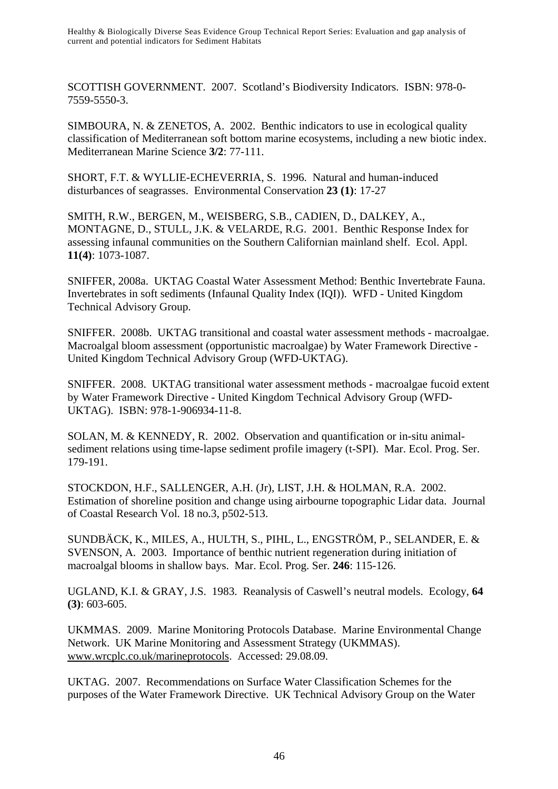SCOTTISH GOVERNMENT. 2007. Scotland's Biodiversity Indicators. ISBN: 978-0- 7559-5550-3.

SIMBOURA, N. & ZENETOS, A. 2002. Benthic indicators to use in ecological quality classification of Mediterranean soft bottom marine ecosystems, including a new biotic index. Mediterranean Marine Science **3/2**: 77-111.

SHORT, F.T. & WYLLIE-ECHEVERRIA, S. 1996. Natural and human-induced disturbances of seagrasses. Environmental Conservation **23 (1)**: 17-27

SMITH, R.W., BERGEN, M., WEISBERG, S.B., CADIEN, D., DALKEY, A., MONTAGNE, D., STULL, J.K. & VELARDE, R.G. 2001. Benthic Response Index for assessing infaunal communities on the Southern Californian mainland shelf. Ecol. Appl. **11(4)**: 1073-1087.

SNIFFER, 2008a. UKTAG Coastal Water Assessment Method: Benthic Invertebrate Fauna. Invertebrates in soft sediments (Infaunal Quality Index (IQI)). WFD - United Kingdom Technical Advisory Group.

SNIFFER. 2008b. UKTAG transitional and coastal water assessment methods - macroalgae. Macroalgal bloom assessment (opportunistic macroalgae) by Water Framework Directive - United Kingdom Technical Advisory Group (WFD-UKTAG).

SNIFFER. 2008. UKTAG transitional water assessment methods - macroalgae fucoid extent by Water Framework Directive - United Kingdom Technical Advisory Group (WFD-UKTAG). ISBN: 978-1-906934-11-8.

SOLAN, M. & KENNEDY, R. 2002. Observation and quantification or in-situ animalsediment relations using time-lapse sediment profile imagery (t-SPI). Mar. Ecol. Prog. Ser. 179-191.

STOCKDON, H.F., SALLENGER, A.H. (Jr), LIST, J.H. & HOLMAN, R.A. 2002. Estimation of shoreline position and change using airbourne topographic Lidar data. Journal of Coastal Research Vol. 18 no.3, p502-513.

SUNDBÄCK, K., MILES, A., HULTH, S., PIHL, L., ENGSTRÖM, P., SELANDER, E. & SVENSON, A. 2003. Importance of benthic nutrient regeneration during initiation of macroalgal blooms in shallow bays. Mar. Ecol. Prog. Ser. **246**: 115-126.

UGLAND, K.I. & GRAY, J.S. 1983. Reanalysis of Caswell's neutral models. Ecology, **64 (3)**: 603-605.

UKMMAS. 2009. Marine Monitoring Protocols Database. Marine Environmental Change Network. UK Marine Monitoring and Assessment Strategy (UKMMAS). www.wrcplc.co.uk/marineprotocols. Accessed: 29.08.09.

UKTAG. 2007. Recommendations on Surface Water Classification Schemes for the purposes of the Water Framework Directive. UK Technical Advisory Group on the Water